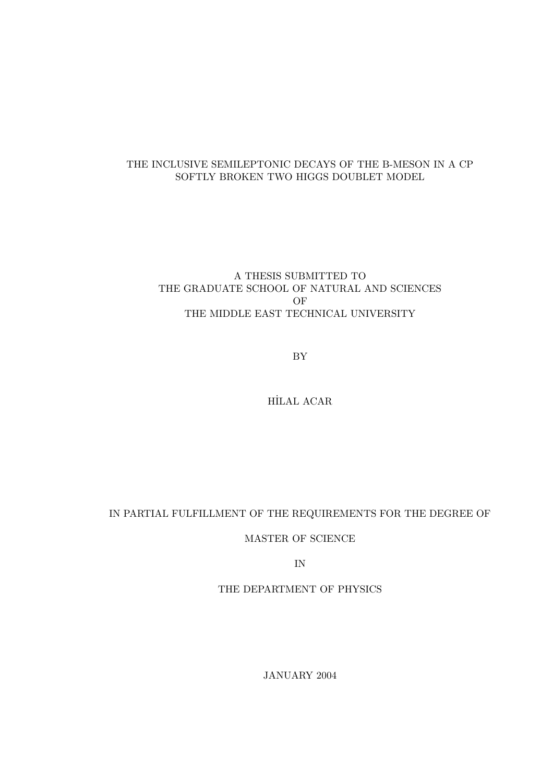### THE INCLUSIVE SEMILEPTONIC DECAYS OF THE B-MESON IN A CP SOFTLY BROKEN TWO HIGGS DOUBLET MODEL

### A THESIS SUBMITTED TO THE GRADUATE SCHOOL OF NATURAL AND SCIENCES OF THE MIDDLE EAST TECHNICAL UNIVERSITY

BY

HİLAL ACAR

### IN PARTIAL FULFILLMENT OF THE REQUIREMENTS FOR THE DEGREE OF

MASTER OF SCIENCE

IN

THE DEPARTMENT OF PHYSICS

JANUARY 2004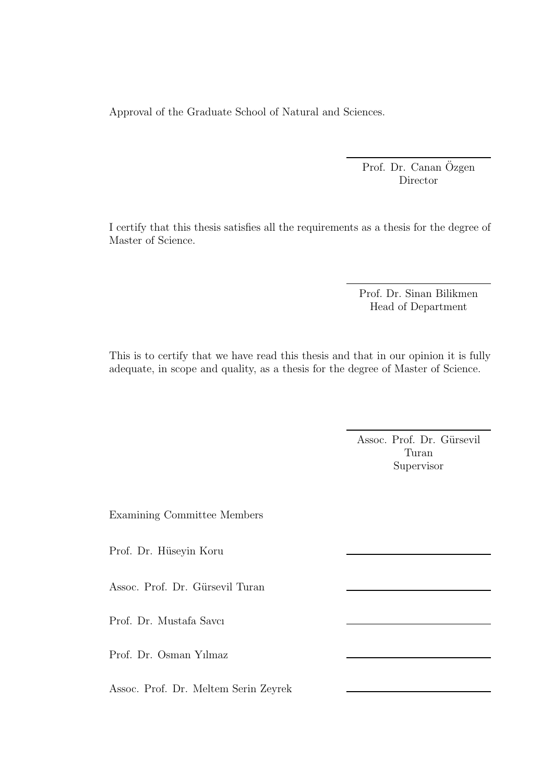Approval of the Graduate School of Natural and Sciences.

Prof. Dr. Canan Özgen Director

I certify that this thesis satisfies all the requirements as a thesis for the degree of Master of Science.

> Prof. Dr. Sinan Bilikmen Head of Department

This is to certify that we have read this thesis and that in our opinion it is fully adequate, in scope and quality, as a thesis for the degree of Master of Science.

> Assoc. Prof. Dr. Gürsevil Turan Supervisor

Examining Committee Members

Prof. Dr. Hüseyin Koru

Assoc. Prof. Dr. Gürsevil Turan

Prof. Dr. Mustafa Savcı

Prof. Dr. Osman Yılmaz

Assoc. Prof. Dr. Meltem Serin Zeyrek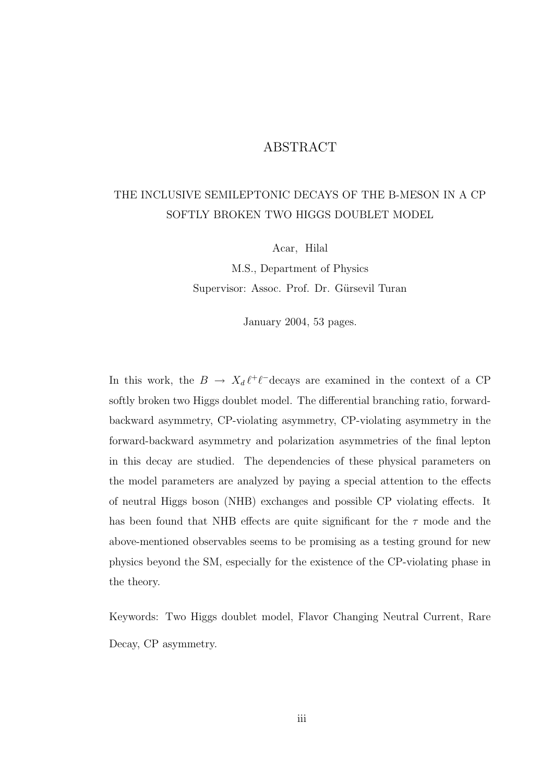### ABSTRACT

## THE INCLUSIVE SEMILEPTONIC DECAYS OF THE B-MESON IN A CP SOFTLY BROKEN TWO HIGGS DOUBLET MODEL

Acar, Hilal

M.S., Department of Physics Supervisor: Assoc. Prof. Dr. Gürsevil Turan

January 2004, 53 pages.

In this work, the  $B \to X_d \ell^+ \ell^-$ decays are examined in the context of a CP softly broken two Higgs doublet model. The differential branching ratio, forwardbackward asymmetry, CP-violating asymmetry, CP-violating asymmetry in the forward-backward asymmetry and polarization asymmetries of the final lepton in this decay are studied. The dependencies of these physical parameters on the model parameters are analyzed by paying a special attention to the effects of neutral Higgs boson (NHB) exchanges and possible CP violating effects. It has been found that NHB effects are quite significant for the  $\tau$  mode and the above-mentioned observables seems to be promising as a testing ground for new physics beyond the SM, especially for the existence of the CP-violating phase in the theory.

Keywords: Two Higgs doublet model, Flavor Changing Neutral Current, Rare Decay, CP asymmetry.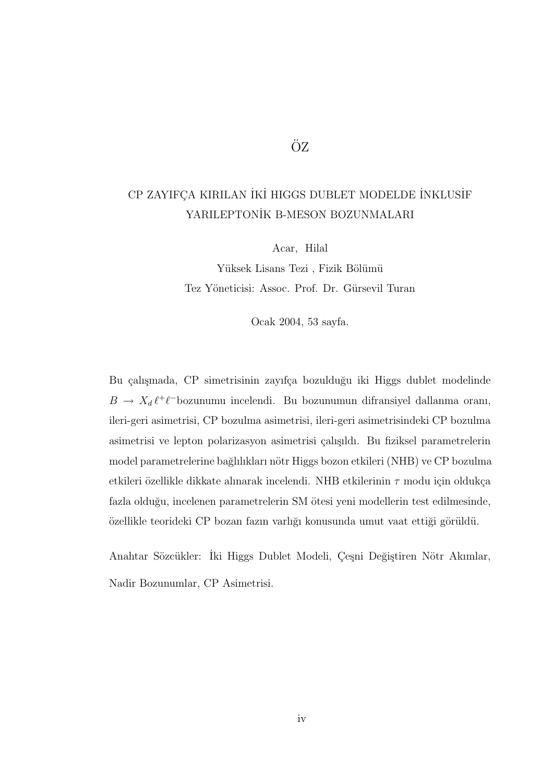# ÖZ

# CP ZAYIFÇA KIRILAN İKİ HIGGS DUBLET MODELDE İNKLUSİF YARILEPTONİK B-MESON BOZUNMALARI

Acar, Hilal

Yüksek Lisans Tezi, Fizik Bölümü Tez Yöneticisi: Assoc. Prof. Dr. Gürsevil Turan

Ocak 2004, 53 sayfa.

Bu çalışmada, CP simetrisinin zayıfça bozulduğu iki Higgs dublet modelinde  $B \to X_d \ell^+ \ell^-$ bozunumu incelendi. Bu bozunumun difransiyel dallanma oranı, ileri-geri asimetrisi, CP bozulma asimetrisi, ileri-geri asimetrisindeki CP bozulma asimetrisi ve lepton polarizasyon asimetrisi çalışıldı. Bu fiziksel parametrelerin model parametrelerine bağlılıkları nötr Higgs bozon etkileri (NHB) ve CP bozulma etkileri özellikle dikkate alınarak incelendi. NHB etkilerinin  $\tau$  modu için oldukça fazla olduğu, incelenen parametrelerin SM ötesi yeni modellerin test edilmesinde, özellikle teorideki CP bozan fazın varlığı konusunda umut vaat ettiği görüldü.

Anahtar Sözcükler: İki Higgs Dublet Modeli, Çeşni Değiştiren Nötr Akımlar, Nadir Bozunumlar, CP Asimetrisi.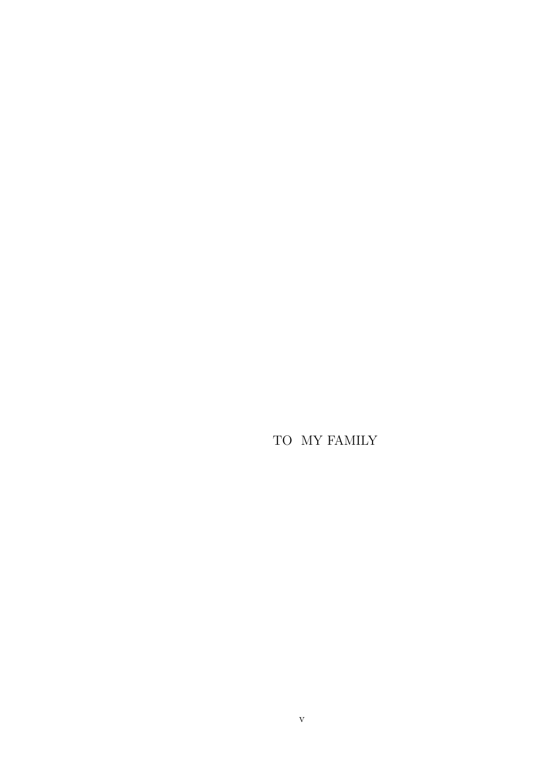TO MY FAMILY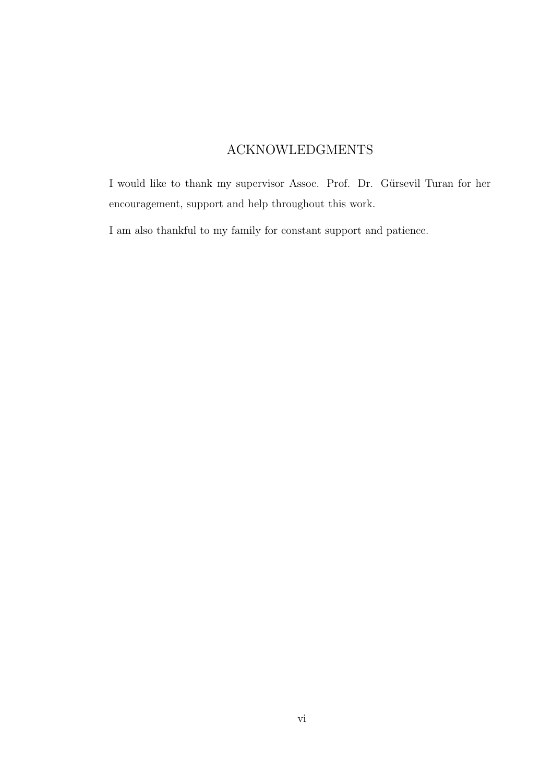## ACKNOWLEDGMENTS

I would like to thank my supervisor Assoc. Prof. Dr. Gürsevil Turan for her encouragement, support and help throughout this work.

I am also thankful to my family for constant support and patience.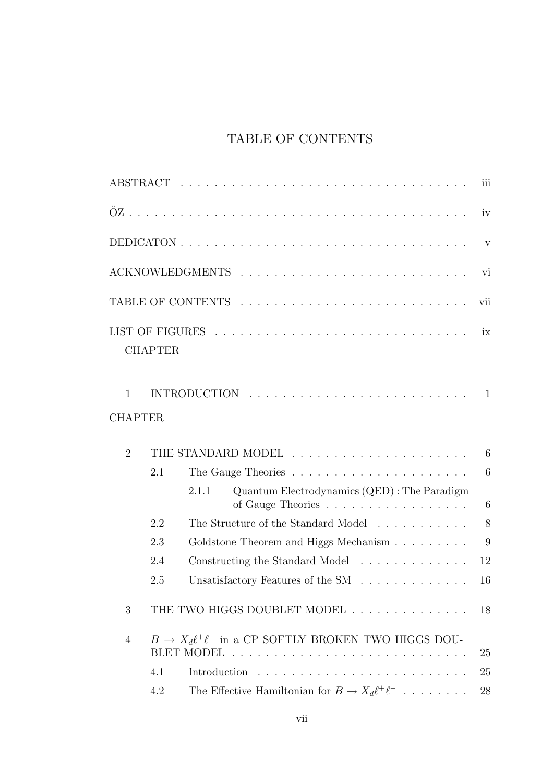# TABLE OF CONTENTS

|                                |                |                                                                                             | iii |
|--------------------------------|----------------|---------------------------------------------------------------------------------------------|-----|
|                                |                |                                                                                             | iv  |
|                                |                |                                                                                             | V   |
|                                |                |                                                                                             | vi  |
|                                |                |                                                                                             | vii |
|                                | <b>CHAPTER</b> |                                                                                             | ix  |
| $\mathbf{1}$<br><b>CHAPTER</b> |                |                                                                                             | 1   |
|                                |                |                                                                                             |     |
| $\overline{2}$                 |                |                                                                                             | 6   |
|                                | 2.1            |                                                                                             | 6   |
|                                |                | Quantum Electrodynamics (QED) : The Paradigm<br>2.1.1<br>of Gauge Theories                  | 6   |
|                                | 2.2            | The Structure of the Standard Model                                                         | 8   |
|                                | 2.3            | Goldstone Theorem and Higgs Mechanism                                                       | 9   |
|                                | 2.4            | Constructing the Standard Model                                                             | 12  |
|                                | 2.5            | Unsatisfactory Features of the SM $\;\ldots\; \ldots\; \ldots\; \ldots\; \ldots\; \ldots\;$ | 16  |
| 3                              |                | THE TWO HIGGS DOUBLET MODEL                                                                 | 18  |
| 4                              |                | $B \to X_d \ell^+ \ell^-$ in a CP SOFTLY BROKEN TWO HIGGS DOU-                              | 25  |
|                                | 4.1            |                                                                                             | 25  |
|                                | 4.2            | The Effective Hamiltonian for $B \to X_d \ell^+ \ell^-$                                     | 28  |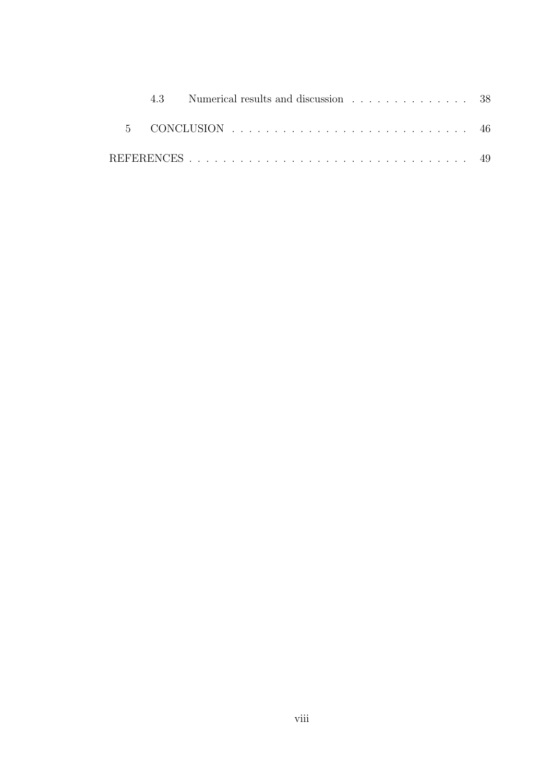|  | 4.3 Numerical results and discussion 38 |  |
|--|-----------------------------------------|--|
|  |                                         |  |
|  |                                         |  |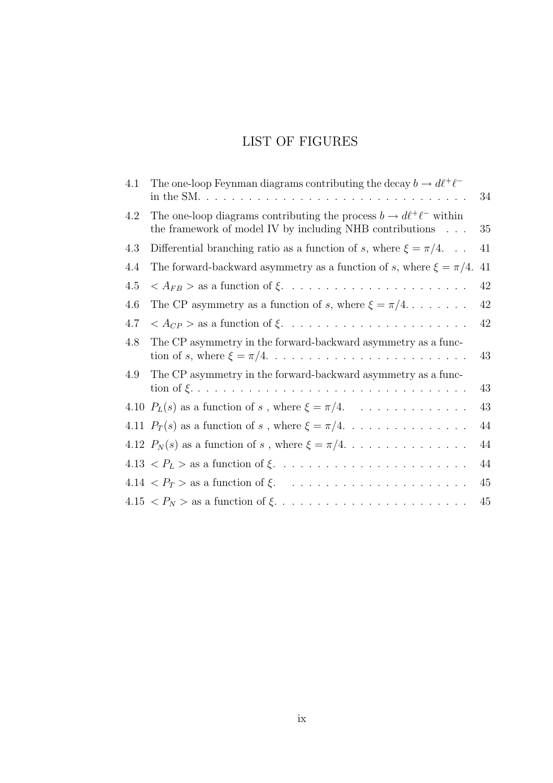# LIST OF FIGURES

| 4.1 | The one-loop Feynman diagrams contributing the decay $b \to d\ell^+\ell^-$                                                              | 34 |
|-----|-----------------------------------------------------------------------------------------------------------------------------------------|----|
| 4.2 | The one-loop diagrams contributing the process $b \to d\ell^+\ell^-$ within<br>the framework of model IV by including NHB contributions | 35 |
| 4.3 | Differential branching ratio as a function of s, where $\xi = \pi/4$                                                                    | 41 |
| 4.4 | The forward-backward asymmetry as a function of s, where $\xi = \pi/4$ .                                                                | 41 |
| 4.5 |                                                                                                                                         | 42 |
| 4.6 | The CP asymmetry as a function of s, where $\xi = \pi/4$                                                                                | 42 |
| 4.7 |                                                                                                                                         | 42 |
| 4.8 | The CP asymmetry in the forward-backward asymmetry as a func-                                                                           | 43 |
| 4.9 | The CP asymmetry in the forward-backward asymmetry as a func-                                                                           | 43 |
|     |                                                                                                                                         | 43 |
|     |                                                                                                                                         | 44 |
|     |                                                                                                                                         | 44 |
|     |                                                                                                                                         | 44 |
|     |                                                                                                                                         | 45 |
|     |                                                                                                                                         | 45 |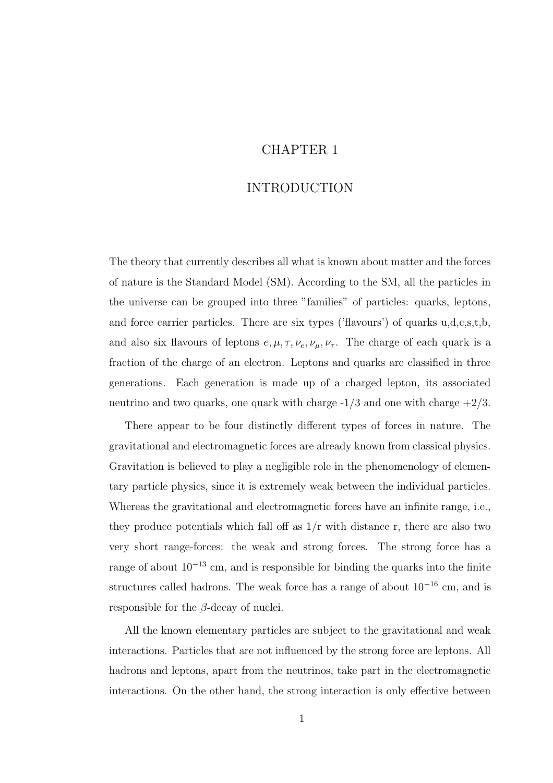### CHAPTER 1

### INTRODUCTION

The theory that currently describes all what is known about matter and the forces of nature is the Standard Model (SM). According to the SM, all the particles in the universe can be grouped into three "families" of particles: quarks, leptons, and force carrier particles. There are six types ('flavours') of quarks u,d,c,s,t,b, and also six flavours of leptons  $e, \mu, \tau, \nu_e, \nu_\mu, \nu_\tau$ . The charge of each quark is a fraction of the charge of an electron. Leptons and quarks are classified in three generations. Each generation is made up of a charged lepton, its associated neutrino and two quarks, one quark with charge  $-1/3$  and one with charge  $+2/3$ .

There appear to be four distinctly different types of forces in nature. The gravitational and electromagnetic forces are already known from classical physics. Gravitation is believed to play a negligible role in the phenomenology of elementary particle physics, since it is extremely weak between the individual particles. Whereas the gravitational and electromagnetic forces have an infinite range, i.e., they produce potentials which fall off as  $1/r$  with distance r, there are also two very short range-forces: the weak and strong forces. The strong force has a range of about 10<sup>-13</sup> cm, and is responsible for binding the quarks into the finite structures called hadrons. The weak force has a range of about  $10^{-16}$  cm, and is responsible for the  $\beta$ -decay of nuclei.

All the known elementary particles are subject to the gravitational and weak interactions. Particles that are not influenced by the strong force are leptons. All hadrons and leptons, apart from the neutrinos, take part in the electromagnetic interactions. On the other hand, the strong interaction is only effective between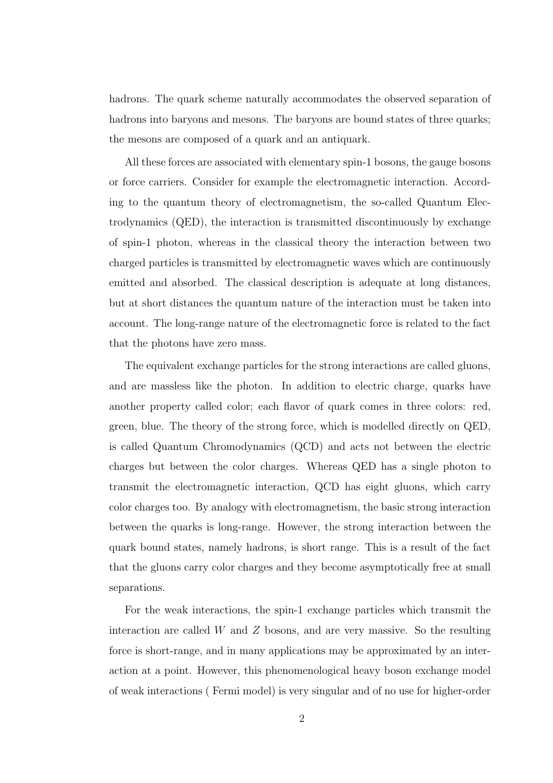hadrons. The quark scheme naturally accommodates the observed separation of hadrons into baryons and mesons. The baryons are bound states of three quarks; the mesons are composed of a quark and an antiquark.

All these forces are associated with elementary spin-1 bosons, the gauge bosons or force carriers. Consider for example the electromagnetic interaction. According to the quantum theory of electromagnetism, the so-called Quantum Electrodynamics (QED), the interaction is transmitted discontinuously by exchange of spin-1 photon, whereas in the classical theory the interaction between two charged particles is transmitted by electromagnetic waves which are continuously emitted and absorbed. The classical description is adequate at long distances, but at short distances the quantum nature of the interaction must be taken into account. The long-range nature of the electromagnetic force is related to the fact that the photons have zero mass.

The equivalent exchange particles for the strong interactions are called gluons, and are massless like the photon. In addition to electric charge, quarks have another property called color; each flavor of quark comes in three colors: red, green, blue. The theory of the strong force, which is modelled directly on QED, is called Quantum Chromodynamics (QCD) and acts not between the electric charges but between the color charges. Whereas QED has a single photon to transmit the electromagnetic interaction, QCD has eight gluons, which carry color charges too. By analogy with electromagnetism, the basic strong interaction between the quarks is long-range. However, the strong interaction between the quark bound states, namely hadrons, is short range. This is a result of the fact that the gluons carry color charges and they become asymptotically free at small separations.

For the weak interactions, the spin-1 exchange particles which transmit the interaction are called  $W$  and  $Z$  bosons, and are very massive. So the resulting force is short-range, and in many applications may be approximated by an interaction at a point. However, this phenomenological heavy boson exchange model of weak interactions ( Fermi model) is very singular and of no use for higher-order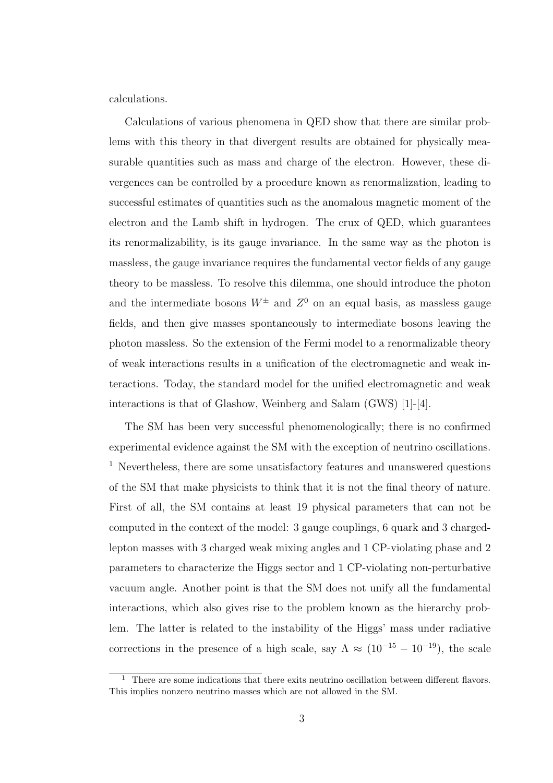calculations.

Calculations of various phenomena in QED show that there are similar problems with this theory in that divergent results are obtained for physically measurable quantities such as mass and charge of the electron. However, these divergences can be controlled by a procedure known as renormalization, leading to successful estimates of quantities such as the anomalous magnetic moment of the electron and the Lamb shift in hydrogen. The crux of QED, which guarantees its renormalizability, is its gauge invariance. In the same way as the photon is massless, the gauge invariance requires the fundamental vector fields of any gauge theory to be massless. To resolve this dilemma, one should introduce the photon and the intermediate bosons  $W^{\pm}$  and  $Z^{0}$  on an equal basis, as massless gauge fields, and then give masses spontaneously to intermediate bosons leaving the photon massless. So the extension of the Fermi model to a renormalizable theory of weak interactions results in a unification of the electromagnetic and weak interactions. Today, the standard model for the unified electromagnetic and weak interactions is that of Glashow, Weinberg and Salam (GWS) [1]-[4].

The SM has been very successful phenomenologically; there is no confirmed experimental evidence against the SM with the exception of neutrino oscillations. <sup>1</sup> Nevertheless, there are some unsatisfactory features and unanswered questions of the SM that make physicists to think that it is not the final theory of nature. First of all, the SM contains at least 19 physical parameters that can not be computed in the context of the model: 3 gauge couplings, 6 quark and 3 chargedlepton masses with 3 charged weak mixing angles and 1 CP-violating phase and 2 parameters to characterize the Higgs sector and 1 CP-violating non-perturbative vacuum angle. Another point is that the SM does not unify all the fundamental interactions, which also gives rise to the problem known as the hierarchy problem. The latter is related to the instability of the Higgs' mass under radiative corrections in the presence of a high scale, say  $\Lambda \approx (10^{-15} - 10^{-19})$ , the scale

 $1$  There are some indications that there exits neutrino oscillation between different flavors. This implies nonzero neutrino masses which are not allowed in the SM.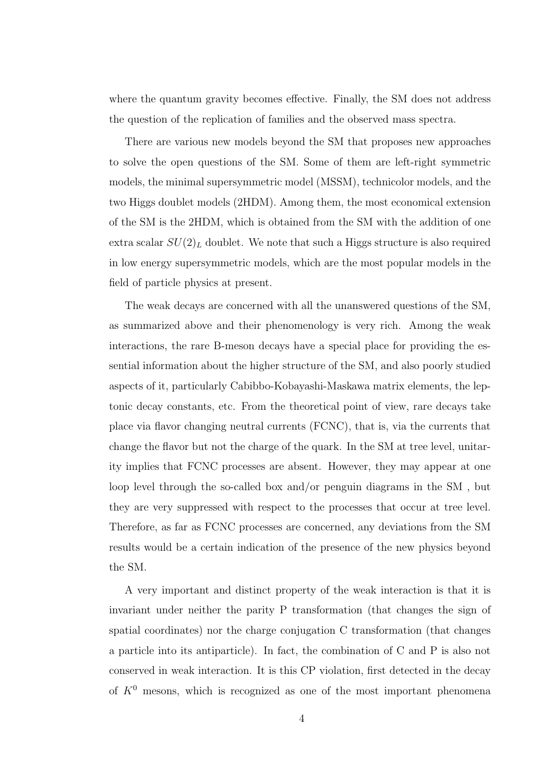where the quantum gravity becomes effective. Finally, the SM does not address the question of the replication of families and the observed mass spectra.

There are various new models beyond the SM that proposes new approaches to solve the open questions of the SM. Some of them are left-right symmetric models, the minimal supersymmetric model (MSSM), technicolor models, and the two Higgs doublet models (2HDM). Among them, the most economical extension of the SM is the 2HDM, which is obtained from the SM with the addition of one extra scalar  $SU(2)_L$  doublet. We note that such a Higgs structure is also required in low energy supersymmetric models, which are the most popular models in the field of particle physics at present.

The weak decays are concerned with all the unanswered questions of the SM, as summarized above and their phenomenology is very rich. Among the weak interactions, the rare B-meson decays have a special place for providing the essential information about the higher structure of the SM, and also poorly studied aspects of it, particularly Cabibbo-Kobayashi-Maskawa matrix elements, the leptonic decay constants, etc. From the theoretical point of view, rare decays take place via flavor changing neutral currents (FCNC), that is, via the currents that change the flavor but not the charge of the quark. In the SM at tree level, unitarity implies that FCNC processes are absent. However, they may appear at one loop level through the so-called box and/or penguin diagrams in the SM , but they are very suppressed with respect to the processes that occur at tree level. Therefore, as far as FCNC processes are concerned, any deviations from the SM results would be a certain indication of the presence of the new physics beyond the SM.

A very important and distinct property of the weak interaction is that it is invariant under neither the parity P transformation (that changes the sign of spatial coordinates) nor the charge conjugation C transformation (that changes a particle into its antiparticle). In fact, the combination of C and P is also not conserved in weak interaction. It is this CP violation, first detected in the decay of  $K^0$  mesons, which is recognized as one of the most important phenomena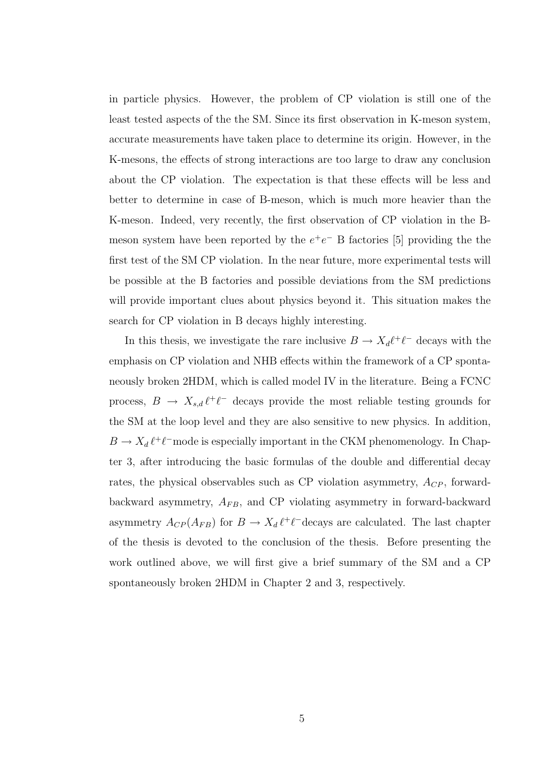in particle physics. However, the problem of CP violation is still one of the least tested aspects of the the SM. Since its first observation in K-meson system, accurate measurements have taken place to determine its origin. However, in the K-mesons, the effects of strong interactions are too large to draw any conclusion about the CP violation. The expectation is that these effects will be less and better to determine in case of B-meson, which is much more heavier than the K-meson. Indeed, very recently, the first observation of CP violation in the Bmeson system have been reported by the  $e^+e^-$  B factories [5] providing the the first test of the SM CP violation. In the near future, more experimental tests will be possible at the B factories and possible deviations from the SM predictions will provide important clues about physics beyond it. This situation makes the search for CP violation in B decays highly interesting.

In this thesis, we investigate the rare inclusive  $B \to X_d \ell^+ \ell^-$  decays with the emphasis on CP violation and NHB effects within the framework of a CP spontaneously broken 2HDM, which is called model IV in the literature. Being a FCNC process,  $B \to X_{s,d} \ell^+ \ell^-$  decays provide the most reliable testing grounds for the SM at the loop level and they are also sensitive to new physics. In addition,  $B \to X_d \ell^+ \ell^-$  mode is especially important in the CKM phenomenology. In Chapter 3, after introducing the basic formulas of the double and differential decay rates, the physical observables such as CP violation asymmetry,  $A_{CP}$ , forwardbackward asymmetry,  $A_{FB}$ , and CP violating asymmetry in forward-backward asymmetry  $A_{CP}(A_{FB})$  for  $B \to X_d \ell^+ \ell^-$ decays are calculated. The last chapter of the thesis is devoted to the conclusion of the thesis. Before presenting the work outlined above, we will first give a brief summary of the SM and a CP spontaneously broken 2HDM in Chapter 2 and 3, respectively.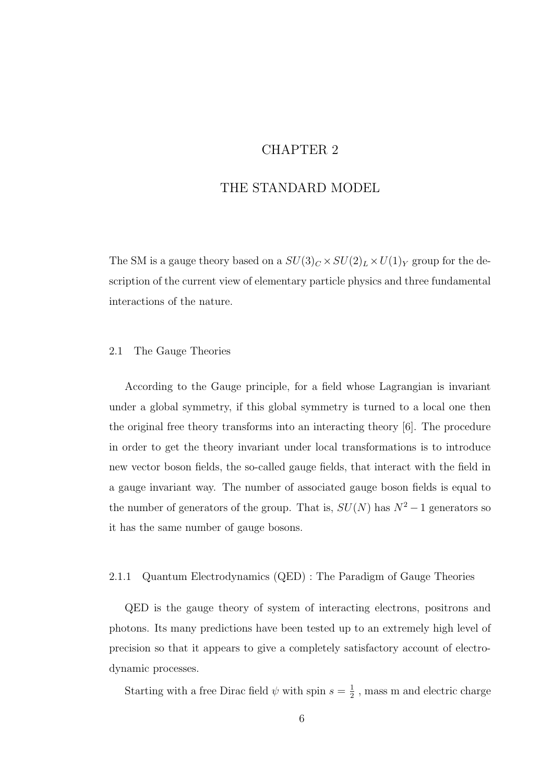### CHAPTER 2

### THE STANDARD MODEL

The SM is a gauge theory based on a  $SU(3)_C\times SU(2)_L\times U(1)_Y$  group for the description of the current view of elementary particle physics and three fundamental interactions of the nature.

#### 2.1 The Gauge Theories

According to the Gauge principle, for a field whose Lagrangian is invariant under a global symmetry, if this global symmetry is turned to a local one then the original free theory transforms into an interacting theory [6]. The procedure in order to get the theory invariant under local transformations is to introduce new vector boson fields, the so-called gauge fields, that interact with the field in a gauge invariant way. The number of associated gauge boson fields is equal to the number of generators of the group. That is,  $SU(N)$  has  $N^2-1$  generators so it has the same number of gauge bosons.

#### 2.1.1 Quantum Electrodynamics (QED) : The Paradigm of Gauge Theories

QED is the gauge theory of system of interacting electrons, positrons and photons. Its many predictions have been tested up to an extremely high level of precision so that it appears to give a completely satisfactory account of electrodynamic processes.

Starting with a free Dirac field  $\psi$  with spin  $s=\frac{1}{2}$  $\frac{1}{2}$ , mass m and electric charge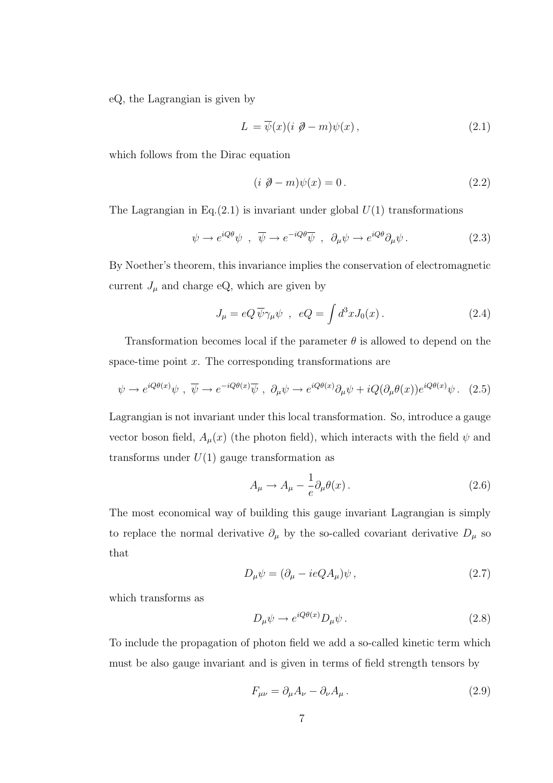eQ, the Lagrangian is given by

$$
L = \overline{\psi}(x)(i \not\!{\partial} - m)\psi(x), \qquad (2.1)
$$

which follows from the Dirac equation

$$
(i \ \mathcal{D} - m)\psi(x) = 0. \qquad (2.2)
$$

The Lagrangian in Eq.(2.1) is invariant under global  $U(1)$  transformations

$$
\psi \to e^{iQ\theta}\psi \ , \ \overline{\psi} \to e^{-iQ\theta}\overline{\psi} \ , \ \partial_{\mu}\psi \to e^{iQ\theta}\partial_{\mu}\psi \ . \tag{2.3}
$$

By Noether's theorem, this invariance implies the conservation of electromagnetic current  $J_{\mu}$  and charge eQ, which are given by

$$
J_{\mu} = eQ \overline{\psi} \gamma_{\mu} \psi \quad , \quad eQ = \int d^3x J_0(x) \,. \tag{2.4}
$$

Transformation becomes local if the parameter  $\theta$  is allowed to depend on the space-time point  $x$ . The corresponding transformations are

$$
\psi \to e^{iQ\theta(x)}\psi \ , \ \overline{\psi} \to e^{-iQ\theta(x)}\overline{\psi} \ , \ \partial_{\mu}\psi \to e^{iQ\theta(x)}\partial_{\mu}\psi + iQ(\partial_{\mu}\theta(x))e^{iQ\theta(x)}\psi \ . \tag{2.5}
$$

Lagrangian is not invariant under this local transformation. So, introduce a gauge vector boson field,  $A_{\mu}(x)$  (the photon field), which interacts with the field  $\psi$  and transforms under  $U(1)$  gauge transformation as

$$
A_{\mu} \to A_{\mu} - \frac{1}{e} \partial_{\mu} \theta(x) \,. \tag{2.6}
$$

The most economical way of building this gauge invariant Lagrangian is simply to replace the normal derivative  $\partial_\mu$  by the so-called covariant derivative  $D_\mu$  so that

$$
D_{\mu}\psi = (\partial_{\mu} - ieQA_{\mu})\psi , \qquad (2.7)
$$

which transforms as

$$
D_{\mu}\psi \to e^{iQ\theta(x)} D_{\mu}\psi. \tag{2.8}
$$

To include the propagation of photon field we add a so-called kinetic term which must be also gauge invariant and is given in terms of field strength tensors by

$$
F_{\mu\nu} = \partial_{\mu}A_{\nu} - \partial_{\nu}A_{\mu}.
$$
\n(2.9)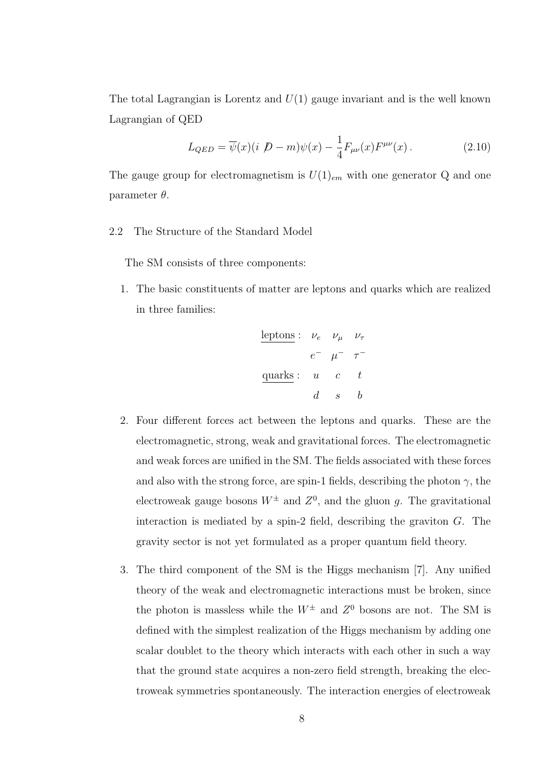The total Lagrangian is Lorentz and  $U(1)$  gauge invariant and is the well known Lagrangian of QED

$$
L_{QED} = \overline{\psi}(x)(i \not D - m)\psi(x) - \frac{1}{4}F_{\mu\nu}(x)F^{\mu\nu}(x).
$$
 (2.10)

The gauge group for electromagnetism is  $U(1)_{em}$  with one generator Q and one parameter  $\theta$ .

2.2 The Structure of the Standard Model

The SM consists of three components:

1. The basic constituents of matter are leptons and quarks which are realized in three families:

| leptons | the     | $\nu_e$  | $\nu_\mu$ | $\nu_\tau$ |
|---------|---------|----------|-----------|------------|
| $e^-$   | $\mu^-$ | $\tau^-$ |           |            |
| quarks  | u       | c        | t         |            |
| $d$     | $s$     | $b$      |           |            |

- 2. Four different forces act between the leptons and quarks. These are the electromagnetic, strong, weak and gravitational forces. The electromagnetic and weak forces are unified in the SM. The fields associated with these forces and also with the strong force, are spin-1 fields, describing the photon  $\gamma$ , the electroweak gauge bosons  $W^{\pm}$  and  $Z^{0}$ , and the gluon g. The gravitational interaction is mediated by a spin-2 field, describing the graviton  $G$ . The gravity sector is not yet formulated as a proper quantum field theory.
- 3. The third component of the SM is the Higgs mechanism [7]. Any unified theory of the weak and electromagnetic interactions must be broken, since the photon is massless while the  $W^{\pm}$  and  $Z^{0}$  bosons are not. The SM is defined with the simplest realization of the Higgs mechanism by adding one scalar doublet to the theory which interacts with each other in such a way that the ground state acquires a non-zero field strength, breaking the electroweak symmetries spontaneously. The interaction energies of electroweak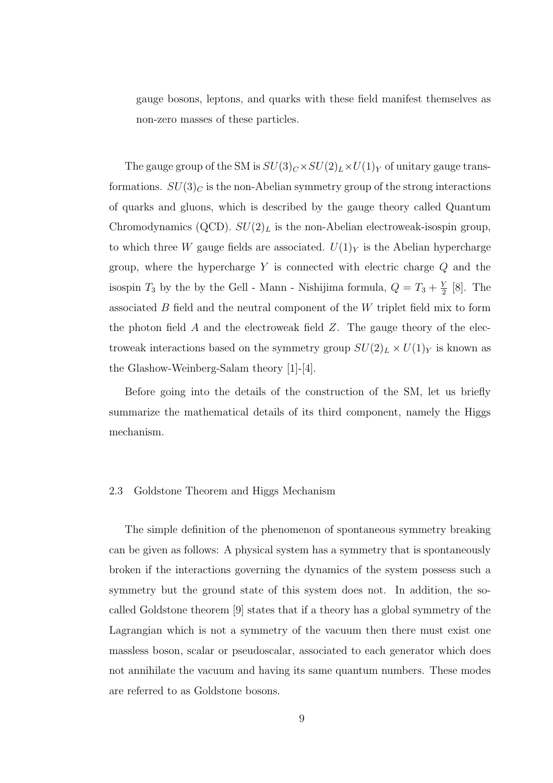gauge bosons, leptons, and quarks with these field manifest themselves as non-zero masses of these particles.

The gauge group of the SM is  $SU(3)_C \times SU(2)_L \times U(1)_Y$  of unitary gauge transformations.  $SU(3)_C$  is the non-Abelian symmetry group of the strong interactions of quarks and gluons, which is described by the gauge theory called Quantum Chromodynamics (QCD).  $SU(2)_L$  is the non-Abelian electroweak-isospin group, to which three W gauge fields are associated.  $U(1)_Y$  is the Abelian hypercharge group, where the hypercharge  $Y$  is connected with electric charge  $Q$  and the isospin  $T_3$  by the by the Gell - Mann - Nishijima formula,  $Q = T_3 + \frac{Y}{2}$  $\frac{Y}{2}$  [8]. The associated B field and the neutral component of the W triplet field mix to form the photon field A and the electroweak field  $Z$ . The gauge theory of the electroweak interactions based on the symmetry group  $SU(2)_L \times U(1)_Y$  is known as the Glashow-Weinberg-Salam theory [1]-[4].

Before going into the details of the construction of the SM, let us briefly summarize the mathematical details of its third component, namely the Higgs mechanism.

#### 2.3 Goldstone Theorem and Higgs Mechanism

The simple definition of the phenomenon of spontaneous symmetry breaking can be given as follows: A physical system has a symmetry that is spontaneously broken if the interactions governing the dynamics of the system possess such a symmetry but the ground state of this system does not. In addition, the socalled Goldstone theorem [9] states that if a theory has a global symmetry of the Lagrangian which is not a symmetry of the vacuum then there must exist one massless boson, scalar or pseudoscalar, associated to each generator which does not annihilate the vacuum and having its same quantum numbers. These modes are referred to as Goldstone bosons.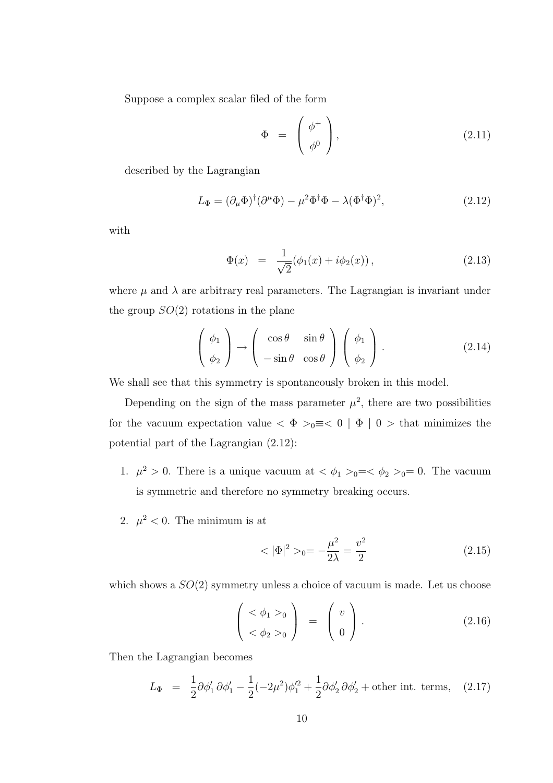Suppose a complex scalar filed of the form

$$
\Phi = \begin{pmatrix} \phi^+ \\ \phi^0 \end{pmatrix}, \tag{2.11}
$$

described by the Lagrangian

$$
L_{\Phi} = (\partial_{\mu}\Phi)^{\dagger}(\partial^{\mu}\Phi) - \mu^{2}\Phi^{\dagger}\Phi - \lambda(\Phi^{\dagger}\Phi)^{2}, \qquad (2.12)
$$

with

$$
\Phi(x) = \frac{1}{\sqrt{2}} (\phi_1(x) + i\phi_2(x)), \qquad (2.13)
$$

where  $\mu$  and  $\lambda$  are arbitrary real parameters. The Lagrangian is invariant under the group  $SO(2)$  rotations in the plane

$$
\left(\begin{array}{c}\n\phi_1 \\
\phi_2\n\end{array}\right) \rightarrow \left(\begin{array}{cc}\n\cos \theta & \sin \theta \\
-\sin \theta & \cos \theta\n\end{array}\right) \left(\begin{array}{c}\n\phi_1 \\
\phi_2\n\end{array}\right).
$$
\n(2.14)

We shall see that this symmetry is spontaneously broken in this model.

Depending on the sign of the mass parameter  $\mu^2$ , there are two possibilities for the vacuum expectation value <  $\Phi >_0 \equiv < 0 \mid \Phi \mid 0 >$  that minimizes the potential part of the Lagrangian (2.12):

- 1.  $\mu^2 > 0$ . There is a unique vacuum at  $\langle \phi_1 \rangle_{0} = \langle \phi_2 \rangle_{0} = 0$ . The vacuum is symmetric and therefore no symmetry breaking occurs.
- 2.  $\mu^2 < 0$ . The minimum is at

$$
\langle |\Phi|^2 \rangle_{0} = -\frac{\mu^2}{2\lambda} = \frac{v^2}{2} \tag{2.15}
$$

which shows a  $SO(2)$  symmetry unless a choice of vacuum is made. Let us choose

$$
\begin{pmatrix} <\phi_1>_{0} \\ <\phi_2>_{0} \end{pmatrix} = \begin{pmatrix} v \\ 0 \end{pmatrix}.
$$
 (2.16)

Then the Lagrangian becomes

$$
L_{\Phi} = \frac{1}{2}\partial\phi_1' \, \partial\phi_1' - \frac{1}{2}(-2\mu^2)\phi_1'^2 + \frac{1}{2}\partial\phi_2' \, \partial\phi_2' + \text{other int. terms}, \quad (2.17)
$$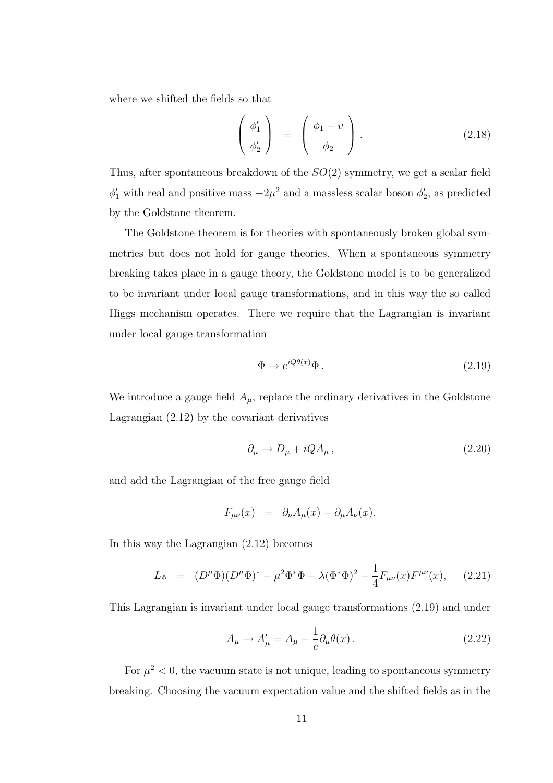where we shifted the fields so that

$$
\begin{pmatrix} \phi_1' \\ \phi_2' \end{pmatrix} = \begin{pmatrix} \phi_1 - v \\ \phi_2 \end{pmatrix} . \tag{2.18}
$$

Thus, after spontaneous breakdown of the  $SO(2)$  symmetry, we get a scalar field  $\phi'_1$  with real and positive mass  $-2\mu^2$  and a massless scalar boson  $\phi'_2$ , as predicted by the Goldstone theorem.

The Goldstone theorem is for theories with spontaneously broken global symmetries but does not hold for gauge theories. When a spontaneous symmetry breaking takes place in a gauge theory, the Goldstone model is to be generalized to be invariant under local gauge transformations, and in this way the so called Higgs mechanism operates. There we require that the Lagrangian is invariant under local gauge transformation

$$
\Phi \to e^{iQ\theta(x)}\Phi\,. \tag{2.19}
$$

We introduce a gauge field  $A_{\mu}$ , replace the ordinary derivatives in the Goldstone Lagrangian (2.12) by the covariant derivatives

$$
\partial_{\mu} \to D_{\mu} + i Q A_{\mu} \,, \tag{2.20}
$$

and add the Lagrangian of the free gauge field

$$
F_{\mu\nu}(x) = \partial_{\nu}A_{\mu}(x) - \partial_{\mu}A_{\nu}(x).
$$

In this way the Lagrangian (2.12) becomes

$$
L_{\Phi} = (D^{\mu}\Phi)(D^{\mu}\Phi)^{*} - \mu^{2}\Phi^{*}\Phi - \lambda(\Phi^{*}\Phi)^{2} - \frac{1}{4}F_{\mu\nu}(x)F^{\mu\nu}(x), \quad (2.21)
$$

This Lagrangian is invariant under local gauge transformations (2.19) and under

$$
A_{\mu} \to A'_{\mu} = A_{\mu} - \frac{1}{e} \partial_{\mu} \theta(x) \,. \tag{2.22}
$$

For  $\mu^2 < 0$ , the vacuum state is not unique, leading to spontaneous symmetry breaking. Choosing the vacuum expectation value and the shifted fields as in the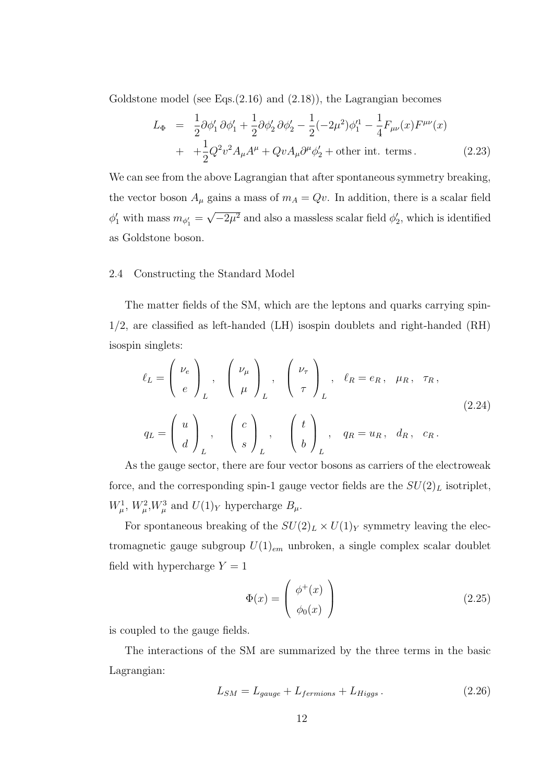Goldstone model (see Eqs.(2.16) and (2.18)), the Lagrangian becomes

$$
L_{\Phi} = \frac{1}{2} \partial \phi_1' \partial \phi_1' + \frac{1}{2} \partial \phi_2' \partial \phi_2' - \frac{1}{2} (-2\mu^2) \phi_1'^1 - \frac{1}{4} F_{\mu\nu}(x) F^{\mu\nu}(x)
$$
  
+ 
$$
+ \frac{1}{2} Q^2 v^2 A_\mu A^\mu + Q v A_\mu \partial^\mu \phi_2' + \text{other int. terms.}
$$
 (2.23)

We can see from the above Lagrangian that after spontaneous symmetry breaking, the vector boson  $A_\mu$  gains a mass of  $m_A = Qv$ . In addition, there is a scalar field  $\phi'_1$  with mass  $m_{\phi'_1} = \sqrt{-2\mu^2}$  and also a massless scalar field  $\phi'_2$ , which is identified as Goldstone boson.

#### 2.4 Constructing the Standard Model

The matter fields of the SM, which are the leptons and quarks carrying spin-1/2, are classified as left-handed (LH) isospin doublets and right-handed (RH) isospin singlets:

$$
\ell_L = \begin{pmatrix} \nu_e \\ e \end{pmatrix}_L, \quad \begin{pmatrix} \nu_\mu \\ \mu \end{pmatrix}_L, \quad \begin{pmatrix} \nu_\tau \\ \tau \end{pmatrix}_L, \quad \ell_R = e_R, \quad \mu_R, \quad \tau_R,
$$
\n
$$
q_L = \begin{pmatrix} u \\ d \end{pmatrix}_L, \quad \begin{pmatrix} c \\ s \end{pmatrix}_L, \quad \begin{pmatrix} t \\ b \end{pmatrix}_L, \quad q_R = u_R, \quad d_R, \quad c_R.
$$
\n(2.24)

As the gauge sector, there are four vector bosons as carriers of the electroweak force, and the corresponding spin-1 gauge vector fields are the  $SU(2)_L$  isotriplet,  $W^1_\mu$ ,  $W^2_\mu$ ,  $W^3_\mu$  and  $U(1)_Y$  hypercharge  $B_\mu$ .

For spontaneous breaking of the  $SU(2)_L \times U(1)_Y$  symmetry leaving the electromagnetic gauge subgroup  $U(1)_{em}$  unbroken, a single complex scalar doublet field with hypercharge  $Y = 1$ 

$$
\Phi(x) = \begin{pmatrix} \phi^+(x) \\ \phi_0(x) \end{pmatrix}
$$
\n(2.25)

is coupled to the gauge fields.

The interactions of the SM are summarized by the three terms in the basic Lagrangian:

$$
L_{SM} = L_{gauge} + L_{fermions} + L_{Higgs} \,. \tag{2.26}
$$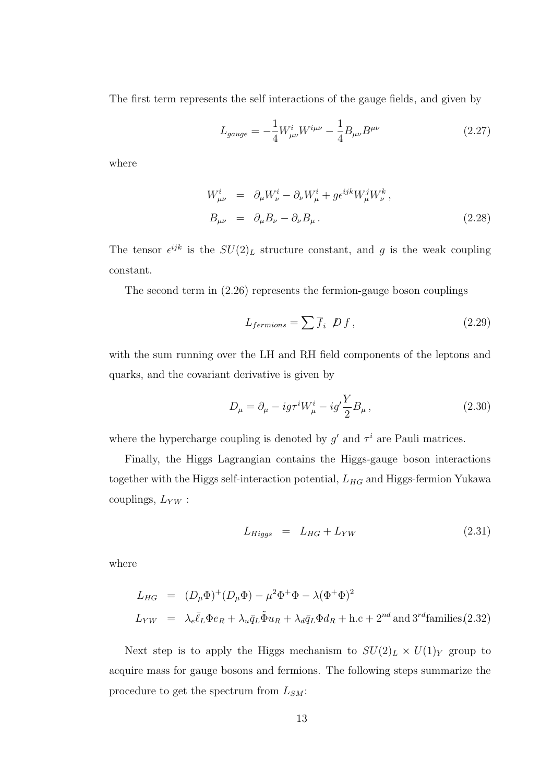The first term represents the self interactions of the gauge fields, and given by

$$
L_{gauge} = -\frac{1}{4} W^{i}_{\mu\nu} W^{i\mu\nu} - \frac{1}{4} B_{\mu\nu} B^{\mu\nu}
$$
 (2.27)

where

$$
W^i_{\mu\nu} = \partial_\mu W^i_\nu - \partial_\nu W^i_\mu + g \epsilon^{ijk} W^j_\mu W^k_\nu,
$$
  
\n
$$
B_{\mu\nu} = \partial_\mu B_\nu - \partial_\nu B_\mu.
$$
\n(2.28)

The tensor  $\epsilon^{ijk}$  is the  $SU(2)_L$  structure constant, and g is the weak coupling constant.

The second term in (2.26) represents the fermion-gauge boson couplings

$$
L_{fermions} = \sum \overline{f}_i \not{D} f, \qquad (2.29)
$$

with the sum running over the LH and RH field components of the leptons and quarks, and the covariant derivative is given by

$$
D_{\mu} = \partial_{\mu} - ig\tau^{i} W_{\mu}^{i} - ig'\frac{Y}{2}B_{\mu}, \qquad (2.30)
$$

where the hypercharge coupling is denoted by  $g'$  and  $\tau^i$  are Pauli matrices.

Finally, the Higgs Lagrangian contains the Higgs-gauge boson interactions together with the Higgs self-interaction potential,  $L_{HG}$  and Higgs-fermion Yukawa couplings,  $\mathcal{L}_{YW}$  :

$$
L_{Higgs} = L_{HG} + L_{YW} \tag{2.31}
$$

where

$$
L_{HG} = (D_{\mu}\Phi)^{+}(D_{\mu}\Phi) - \mu^{2}\Phi^{+}\Phi - \lambda(\Phi^{+}\Phi)^{2}
$$
  
\n
$$
L_{YW} = \lambda_{e}\bar{\ell}_{L}\Phi e_{R} + \lambda_{u}\bar{q}_{L}\tilde{\Phi}u_{R} + \lambda_{d}\bar{q}_{L}\Phi d_{R} + \text{h.c} + 2^{nd} \text{ and } 3^{rd} \text{families} (2.32)
$$

Next step is to apply the Higgs mechanism to  $SU(2)_L \times U(1)_Y$  group to acquire mass for gauge bosons and fermions. The following steps summarize the procedure to get the spectrum from  $L_{SM}$ :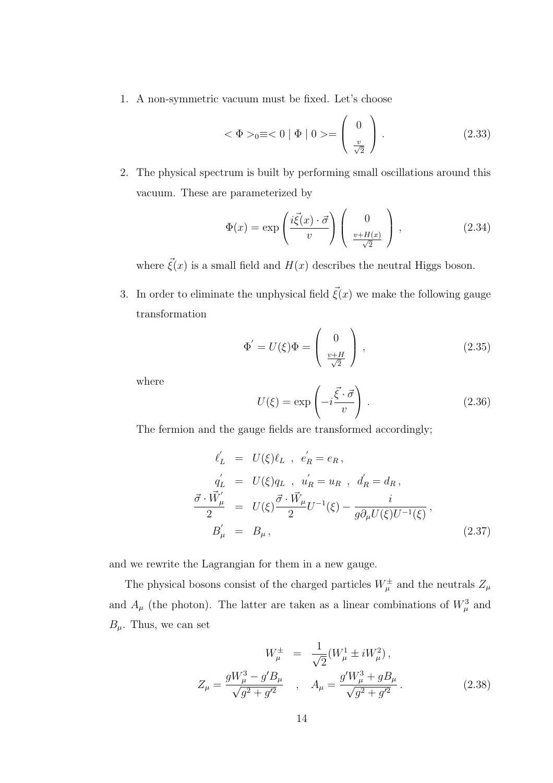1. A non-symmetric vacuum must be fixed. Let's choose

$$
\langle \Phi \rangle_0 \equiv \langle 0 | \Phi | 0 \rangle = \begin{pmatrix} 0 \\ \frac{v}{\sqrt{2}} \end{pmatrix} . \tag{2.33}
$$

2. The physical spectrum is built by performing small oscillations around this vacuum. These are parameterized by

$$
\Phi(x) = \exp\left(\frac{i\vec{\xi}(x) \cdot \vec{\sigma}}{v}\right) \begin{pmatrix} 0\\ \frac{v + H(x)}{\sqrt{2}} \end{pmatrix},
$$
\n(2.34)

where  $\vec{\xi}(x)$  is a small field and  $H(x)$  describes the neutral Higgs boson.

3. In order to eliminate the unphysical field  $\vec{\xi}(x)$  we make the following gauge transformation

$$
\Phi' = U(\xi)\Phi = \begin{pmatrix} 0 \\ \frac{v+H}{\sqrt{2}} \end{pmatrix},
$$
\n(2.35)

where

$$
U(\xi) = \exp\left(-i\frac{\vec{\xi} \cdot \vec{\sigma}}{v}\right). \tag{2.36}
$$

The fermion and the gauge fields are transformed accordingly;

$$
\ell'_{L} = U(\xi)\ell_{L} , \ e'_{R} = e_{R} ,
$$
\n
$$
q'_{L} = U(\xi)q_{L} , \ u'_{R} = u_{R} , \ d'_{R} = d_{R} ,
$$
\n
$$
\frac{\vec{\sigma} \cdot \vec{W}'_{\mu}}{2} = U(\xi) \frac{\vec{\sigma} \cdot \vec{W}_{\mu}}{2} U^{-1}(\xi) - \frac{i}{g \partial_{\mu} U(\xi) U^{-1}(\xi)} ,
$$
\n
$$
B'_{\mu} = B_{\mu} ,
$$
\n(2.37)

and we rewrite the Lagrangian for them in a new gauge.

The physical bosons consist of the charged particles  $W^{\pm}_{\mu}$  and the neutrals  $Z_{\mu}$ and  $A_{\mu}$  (the photon). The latter are taken as a linear combinations of  $W_{\mu}^{3}$  and  $B_{\mu}$ . Thus, we can set

$$
W_{\mu}^{\pm} = \frac{1}{\sqrt{2}} (W_{\mu}^{1} \pm iW_{\mu}^{2}),
$$
  

$$
Z_{\mu} = \frac{gW_{\mu}^{3} - g'B_{\mu}}{\sqrt{g^{2} + g'^{2}}}, \qquad A_{\mu} = \frac{g'W_{\mu}^{3} + gB_{\mu}}{\sqrt{g^{2} + g'^{2}}}.
$$
 (2.38)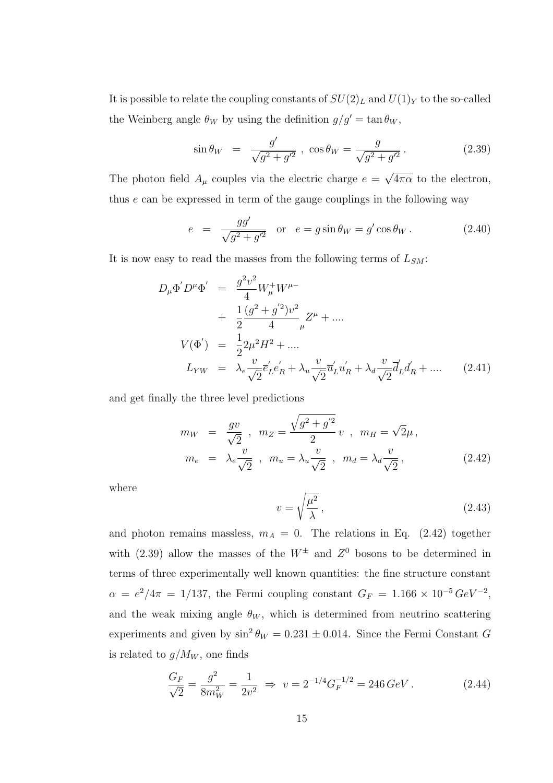It is possible to relate the coupling constants of  $SU(2)_L$  and  $U(1)_Y$  to the so-called the Weinberg angle  $\theta_W$  by using the definition  $g/g' = \tan \theta_W$ ,

$$
\sin \theta_W = \frac{g'}{\sqrt{g^2 + g'^2}}, \cos \theta_W = \frac{g}{\sqrt{g^2 + g'^2}}.
$$
 (2.39)

The photon field  $A_\mu$  couples via the electric charge  $e = \sqrt{4\pi\alpha}$  to the electron, thus e can be expressed in term of the gauge couplings in the following way

$$
e = \frac{gg'}{\sqrt{g^2 + g'^2}}
$$
 or  $e = g \sin \theta_W = g' \cos \theta_W$ . (2.40)

It is now easy to read the masses from the following terms of  $L_{SM}$ :

$$
D_{\mu}\Phi' D^{\mu}\Phi' = \frac{g^2v^2}{4}W_{\mu}^+W^{\mu-} + \frac{1}{2}\frac{(g^2+g^{'2})v^2}{4}Z^{\mu} + .... V(\Phi') = \frac{1}{2}2\mu^2H^2 + .... L_{YW} = \lambda_e\frac{v}{\sqrt{2}}\overline{e}'_Le'_R + \lambda_u\frac{v}{\sqrt{2}}\overline{u}'_Lu'_R + \lambda_d\frac{v}{\sqrt{2}}\overline{d}'_Ld'_R + .... \qquad (2.41)
$$

and get finally the three level predictions

$$
m_W = \frac{gv}{\sqrt{2}}, \ m_Z = \frac{\sqrt{g^2 + g'^2}}{2} v, \ m_H = \sqrt{2}\mu,
$$
  

$$
m_e = \lambda_e \frac{v}{\sqrt{2}}, \ m_u = \lambda_u \frac{v}{\sqrt{2}}, \ m_d = \lambda_d \frac{v}{\sqrt{2}}, \tag{2.42}
$$

where

$$
v = \sqrt{\frac{\mu^2}{\lambda}},\tag{2.43}
$$

and photon remains massless,  $m_A = 0$ . The relations in Eq. (2.42) together with (2.39) allow the masses of the  $W^{\pm}$  and  $Z^{0}$  bosons to be determined in terms of three experimentally well known quantities: the fine structure constant  $\alpha = e^2/4\pi = 1/137$ , the Fermi coupling constant  $G_F = 1.166 \times 10^{-5} \text{ GeV}^{-2}$ , and the weak mixing angle  $\theta_W$ , which is determined from neutrino scattering experiments and given by  $\sin^2 \theta_W = 0.231 \pm 0.014$ . Since the Fermi Constant G is related to  $g/M_W$ , one finds

$$
\frac{G_F}{\sqrt{2}} = \frac{g^2}{8m_W^2} = \frac{1}{2v^2} \implies v = 2^{-1/4} G_F^{-1/2} = 246 \, GeV \,. \tag{2.44}
$$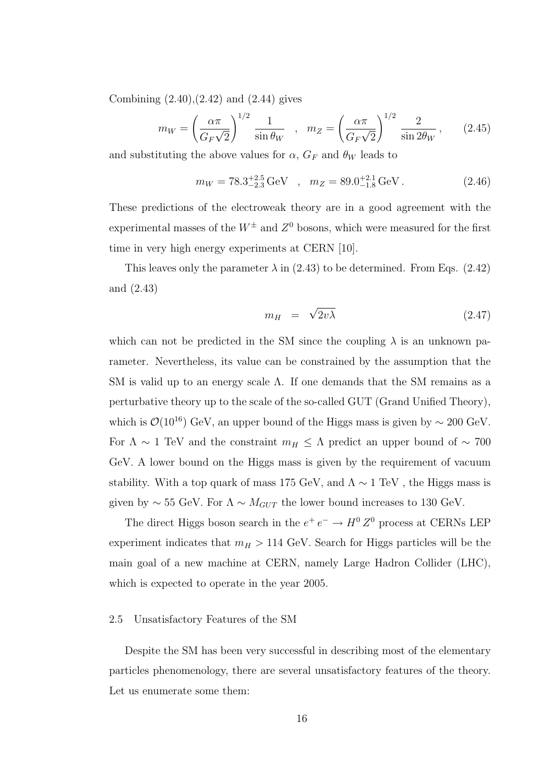Combining  $(2.40), (2.42)$  and  $(2.44)$  gives

$$
m_W = \left(\frac{\alpha \pi}{G_F \sqrt{2}}\right)^{1/2} \frac{1}{\sin \theta_W} \quad , \quad m_Z = \left(\frac{\alpha \pi}{G_F \sqrt{2}}\right)^{1/2} \frac{2}{\sin 2\theta_W} \,, \tag{2.45}
$$

and substituting the above values for  $\alpha$ ,  $G_F$  and  $\theta_W$  leads to

$$
m_W = 78.3^{+2.5}_{-2.3} \,\text{GeV} \quad , \quad m_Z = 89.0^{+2.1}_{-1.8} \,\text{GeV} \,. \tag{2.46}
$$

These predictions of the electroweak theory are in a good agreement with the experimental masses of the  $W^{\pm}$  and  $Z^0$  bosons, which were measured for the first time in very high energy experiments at CERN [10].

This leaves only the parameter  $\lambda$  in (2.43) to be determined. From Eqs. (2.42) and (2.43)

$$
m_H = \sqrt{2v\lambda} \tag{2.47}
$$

which can not be predicted in the SM since the coupling  $\lambda$  is an unknown parameter. Nevertheless, its value can be constrained by the assumption that the SM is valid up to an energy scale  $\Lambda$ . If one demands that the SM remains as a perturbative theory up to the scale of the so-called GUT (Grand Unified Theory), which is  $\mathcal{O}(10^{16})$  GeV, an upper bound of the Higgs mass is given by  $\sim 200$  GeV. For  $\Lambda \sim 1$  TeV and the constraint  $m_H \leq \Lambda$  predict an upper bound of ~ 700 GeV. A lower bound on the Higgs mass is given by the requirement of vacuum stability. With a top quark of mass 175 GeV, and  $\Lambda \sim 1 \text{ TeV}$ , the Higgs mass is given by  $\sim 55$  GeV. For  $\Lambda \sim M_{GUT}$  the lower bound increases to 130 GeV.

The direct Higgs boson search in the  $e^+e^- \to H^0 Z^0$  process at CERNs LEP experiment indicates that  $m_H > 114$  GeV. Search for Higgs particles will be the main goal of a new machine at CERN, namely Large Hadron Collider (LHC), which is expected to operate in the year 2005.

#### 2.5 Unsatisfactory Features of the SM

Despite the SM has been very successful in describing most of the elementary particles phenomenology, there are several unsatisfactory features of the theory. Let us enumerate some them: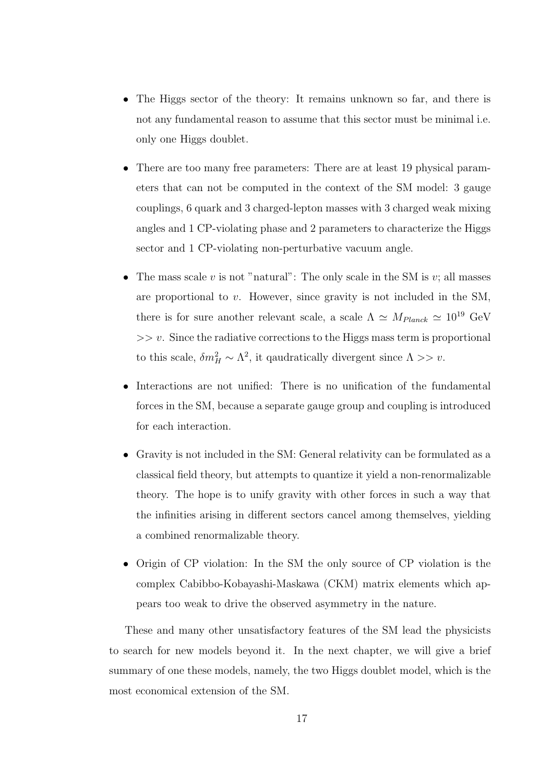- The Higgs sector of the theory: It remains unknown so far, and there is not any fundamental reason to assume that this sector must be minimal i.e. only one Higgs doublet.
- There are too many free parameters: There are at least 19 physical parameters that can not be computed in the context of the SM model: 3 gauge couplings, 6 quark and 3 charged-lepton masses with 3 charged weak mixing angles and 1 CP-violating phase and 2 parameters to characterize the Higgs sector and 1 CP-violating non-perturbative vacuum angle.
- The mass scale v is not "natural": The only scale in the SM is v; all masses are proportional to  $v$ . However, since gravity is not included in the SM, there is for sure another relevant scale, a scale  $\Lambda \simeq M_{Planck} \simeq 10^{19}$  GeV  $\gg$  v. Since the radiative corrections to the Higgs mass term is proportional to this scale,  $\delta m_H^2 \sim \Lambda^2$ , it qaudratically divergent since  $\Lambda >> v$ .
- Interactions are not unified: There is no unification of the fundamental forces in the SM, because a separate gauge group and coupling is introduced for each interaction.
- Gravity is not included in the SM: General relativity can be formulated as a classical field theory, but attempts to quantize it yield a non-renormalizable theory. The hope is to unify gravity with other forces in such a way that the infinities arising in different sectors cancel among themselves, yielding a combined renormalizable theory.
- Origin of CP violation: In the SM the only source of CP violation is the complex Cabibbo-Kobayashi-Maskawa (CKM) matrix elements which appears too weak to drive the observed asymmetry in the nature.

These and many other unsatisfactory features of the SM lead the physicists to search for new models beyond it. In the next chapter, we will give a brief summary of one these models, namely, the two Higgs doublet model, which is the most economical extension of the SM.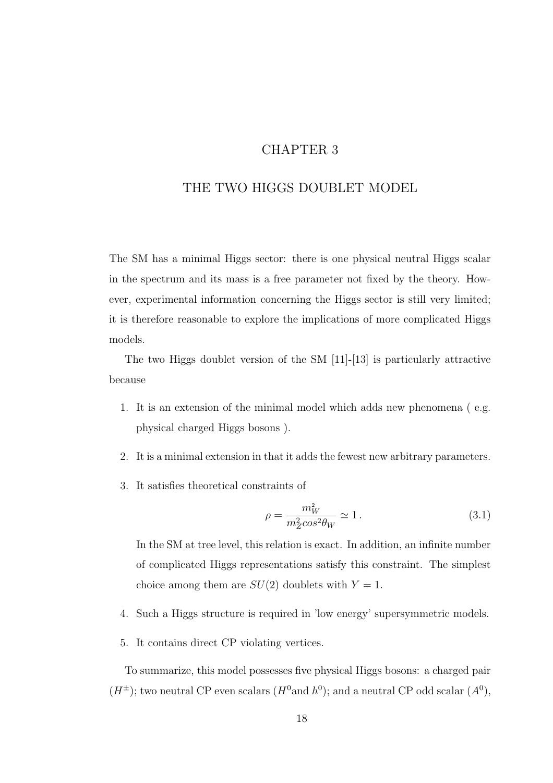### CHAPTER 3

### THE TWO HIGGS DOUBLET MODEL

The SM has a minimal Higgs sector: there is one physical neutral Higgs scalar in the spectrum and its mass is a free parameter not fixed by the theory. However, experimental information concerning the Higgs sector is still very limited; it is therefore reasonable to explore the implications of more complicated Higgs models.

The two Higgs doublet version of the SM [11]-[13] is particularly attractive because

- 1. It is an extension of the minimal model which adds new phenomena ( e.g. physical charged Higgs bosons ).
- 2. It is a minimal extension in that it adds the fewest new arbitrary parameters.
- 3. It satisfies theoretical constraints of

$$
\rho = \frac{m_W^2}{m_Z^2 \cos^2 \theta_W} \simeq 1. \tag{3.1}
$$

In the SM at tree level, this relation is exact. In addition, an infinite number of complicated Higgs representations satisfy this constraint. The simplest choice among them are  $SU(2)$  doublets with  $Y = 1$ .

- 4. Such a Higgs structure is required in 'low energy' supersymmetric models.
- 5. It contains direct CP violating vertices.

To summarize, this model possesses five physical Higgs bosons: a charged pair  $(H^{\pm})$ ; two neutral CP even scalars  $(H^0 \text{and } h^0)$ ; and a neutral CP odd scalar  $(A^0)$ ,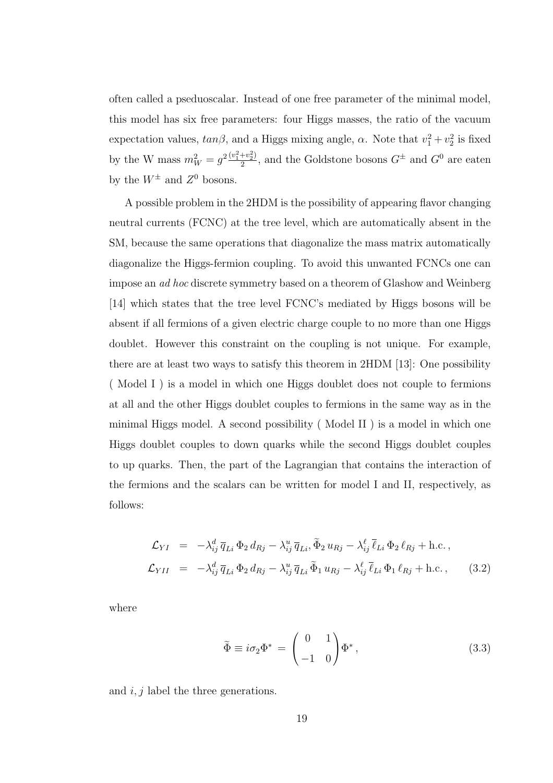often called a pseduoscalar. Instead of one free parameter of the minimal model, this model has six free parameters: four Higgs masses, the ratio of the vacuum expectation values,  $tan\beta$ , and a Higgs mixing angle,  $\alpha$ . Note that  $v_1^2 + v_2^2$  is fixed by the W mass  $m_W^2 = g^2 \frac{(v_1^2 + v_2^2)}{2}$  $\frac{1+v_2^2}{2}$ , and the Goldstone bosons  $G^{\pm}$  and  $G^0$  are eaten by the  $W^{\pm}$  and  $Z^{0}$  bosons.

A possible problem in the 2HDM is the possibility of appearing flavor changing neutral currents (FCNC) at the tree level, which are automatically absent in the SM, because the same operations that diagonalize the mass matrix automatically diagonalize the Higgs-fermion coupling. To avoid this unwanted FCNCs one can impose an ad hoc discrete symmetry based on a theorem of Glashow and Weinberg [14] which states that the tree level FCNC's mediated by Higgs bosons will be absent if all fermions of a given electric charge couple to no more than one Higgs doublet. However this constraint on the coupling is not unique. For example, there are at least two ways to satisfy this theorem in 2HDM [13]: One possibility ( Model I ) is a model in which one Higgs doublet does not couple to fermions at all and the other Higgs doublet couples to fermions in the same way as in the minimal Higgs model. A second possibility ( Model II ) is a model in which one Higgs doublet couples to down quarks while the second Higgs doublet couples to up quarks. Then, the part of the Lagrangian that contains the interaction of the fermions and the scalars can be written for model I and II, respectively, as follows:

$$
\mathcal{L}_{YI} = -\lambda_{ij}^d \overline{q}_{Li} \Phi_2 d_{Rj} - \lambda_{ij}^u \overline{q}_{Li}, \widetilde{\Phi}_2 u_{Rj} - \lambda_{ij}^\ell \overline{\ell}_{Li} \Phi_2 \ell_{Rj} + \text{h.c.},
$$
  
\n
$$
\mathcal{L}_{YII} = -\lambda_{ij}^d \overline{q}_{Li} \Phi_2 d_{Rj} - \lambda_{ij}^u \overline{q}_{Li} \widetilde{\Phi}_1 u_{Rj} - \lambda_{ij}^\ell \overline{\ell}_{Li} \Phi_1 \ell_{Rj} + \text{h.c.},
$$
 (3.2)

where

$$
\tilde{\Phi} \equiv i\sigma_2 \Phi^* = \begin{pmatrix} 0 & 1 \\ -1 & 0 \end{pmatrix} \Phi^*,
$$
\n(3.3)

and  $i, j$  label the three generations.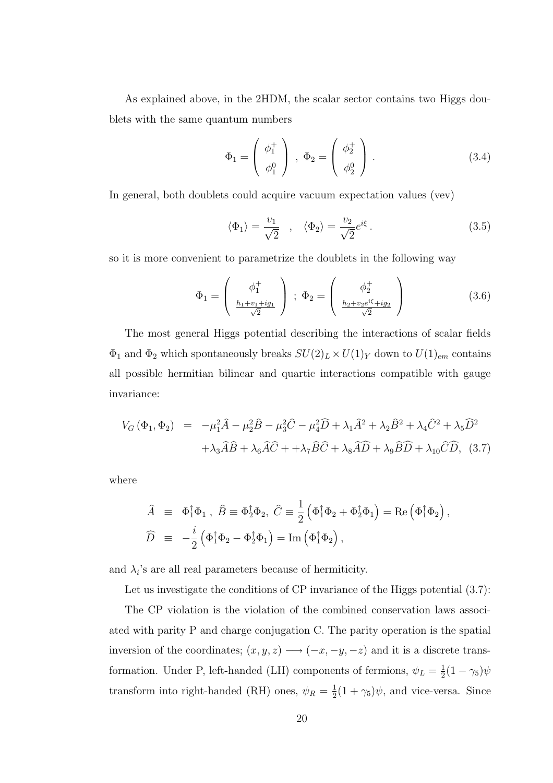As explained above, in the 2HDM, the scalar sector contains two Higgs doublets with the same quantum numbers

$$
\Phi_1 = \begin{pmatrix} \phi_1^+ \\ \phi_1^0 \end{pmatrix} , \Phi_2 = \begin{pmatrix} \phi_2^+ \\ \phi_2^0 \end{pmatrix} .
$$
 (3.4)

In general, both doublets could acquire vacuum expectation values (vev)

$$
\langle \Phi_1 \rangle = \frac{v_1}{\sqrt{2}} \quad , \quad \langle \Phi_2 \rangle = \frac{v_2}{\sqrt{2}} e^{i\xi} \,. \tag{3.5}
$$

,

so it is more convenient to parametrize the doublets in the following way

$$
\Phi_1 = \begin{pmatrix} \phi_1^+ \\ \frac{h_1 + v_1 + ig_1}{\sqrt{2}} \end{pmatrix} ; \ \Phi_2 = \begin{pmatrix} \phi_2^+ \\ \frac{h_2 + v_2 e^{i\xi} + ig_2}{\sqrt{2}} \end{pmatrix}
$$
 (3.6)

The most general Higgs potential describing the interactions of scalar fields  $\Phi_1$  and  $\Phi_2$  which spontaneously breaks  $SU(2)_L \times U(1)_Y$  down to  $U(1)_{em}$  contains all possible hermitian bilinear and quartic interactions compatible with gauge invariance:

$$
V_G(\Phi_1, \Phi_2) = -\mu_1^2 \hat{A} - \mu_2^2 \hat{B} - \mu_3^2 \hat{C} - \mu_4^2 \hat{D} + \lambda_1 \hat{A}^2 + \lambda_2 \hat{B}^2 + \lambda_4 \hat{C}^2 + \lambda_5 \hat{D}^2
$$

$$
+ \lambda_3 \hat{A} \hat{B} + \lambda_6 \hat{A} \hat{C} + \lambda_7 \hat{B} \hat{C} + \lambda_8 \hat{A} \hat{D} + \lambda_9 \hat{B} \hat{D} + \lambda_{10} \hat{C} \hat{D}, \quad (3.7)
$$

where

$$
\begin{array}{rcl}\n\widehat{A} & \equiv & \Phi_1^\dagger \Phi_1 \; , \; \widehat{B} \equiv \Phi_2^\dagger \Phi_2, \; \widehat{C} \equiv \frac{1}{2} \left( \Phi_1^\dagger \Phi_2 + \Phi_2^\dagger \Phi_1 \right) = \text{Re} \left( \Phi_1^\dagger \Phi_2 \right) \\
\widehat{D} & \equiv & -\frac{i}{2} \left( \Phi_1^\dagger \Phi_2 - \Phi_2^\dagger \Phi_1 \right) = \text{Im} \left( \Phi_1^\dagger \Phi_2 \right),\n\end{array}
$$

and  $\lambda_i$ 's are all real parameters because of hermiticity.

Let us investigate the conditions of CP invariance of the Higgs potential  $(3.7)$ :

The CP violation is the violation of the combined conservation laws associated with parity P and charge conjugation C. The parity operation is the spatial inversion of the coordinates;  $(x, y, z) \longrightarrow (-x, -y, -z)$  and it is a discrete transformation. Under P, left-handed (LH) components of fermions,  $\psi_L = \frac{1}{2}$  $\frac{1}{2}(1-\gamma_5)\psi$ transform into right-handed (RH) ones,  $\psi_R = \frac{1}{2}$  $\frac{1}{2}(1+\gamma_5)\psi$ , and vice-versa. Since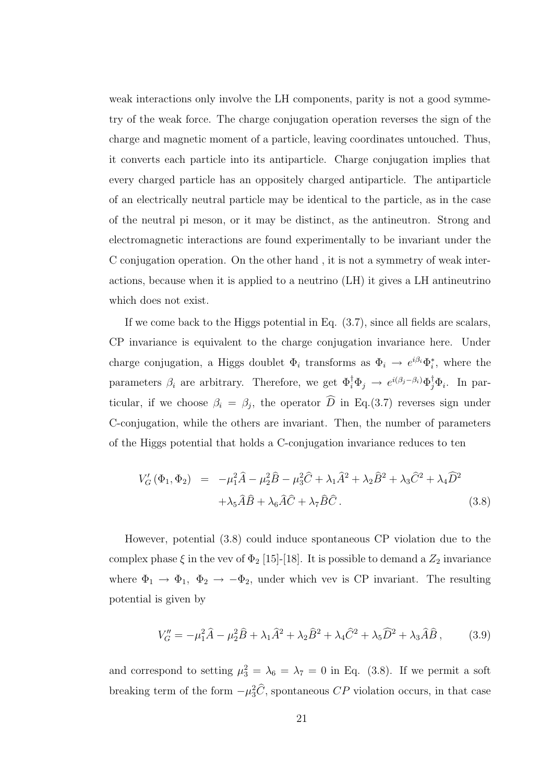weak interactions only involve the LH components, parity is not a good symmetry of the weak force. The charge conjugation operation reverses the sign of the charge and magnetic moment of a particle, leaving coordinates untouched. Thus, it converts each particle into its antiparticle. Charge conjugation implies that every charged particle has an oppositely charged antiparticle. The antiparticle of an electrically neutral particle may be identical to the particle, as in the case of the neutral pi meson, or it may be distinct, as the antineutron. Strong and electromagnetic interactions are found experimentally to be invariant under the C conjugation operation. On the other hand , it is not a symmetry of weak interactions, because when it is applied to a neutrino (LH) it gives a LH antineutrino which does not exist.

If we come back to the Higgs potential in Eq. (3.7), since all fields are scalars, CP invariance is equivalent to the charge conjugation invariance here. Under charge conjugation, a Higgs doublet  $\Phi_i$  transforms as  $\Phi_i \to e^{i\beta_i} \Phi_i^*$ , where the parameters  $\beta_i$  are arbitrary. Therefore, we get  $\Phi_i^{\dagger} \Phi_j \to e^{i(\beta_j - \beta_i)} \Phi_j^{\dagger} \Phi_i$ . In particular, if we choose  $\beta_i = \beta_j$ , the operator D in Eq.(3.7) reverses sign under C-conjugation, while the others are invariant. Then, the number of parameters of the Higgs potential that holds a C-conjugation invariance reduces to ten

$$
V'_{G}(\Phi_1, \Phi_2) = -\mu_1^2 \hat{A} - \mu_2^2 \hat{B} - \mu_3^2 \hat{C} + \lambda_1 \hat{A}^2 + \lambda_2 \hat{B}^2 + \lambda_3 \hat{C}^2 + \lambda_4 \hat{D}^2
$$

$$
+ \lambda_5 \hat{A} \hat{B} + \lambda_6 \hat{A} \hat{C} + \lambda_7 \hat{B} \hat{C}.
$$
(3.8)

However, potential (3.8) could induce spontaneous CP violation due to the complex phase  $\xi$  in the vev of  $\Phi_2$  [15]-[18]. It is possible to demand a  $Z_2$  invariance where  $\Phi_1 \rightarrow \Phi_1$ ,  $\Phi_2 \rightarrow -\Phi_2$ , under which vev is CP invariant. The resulting potential is given by

$$
V''_G = -\mu_1^2 \hat{A} - \mu_2^2 \hat{B} + \lambda_1 \hat{A}^2 + \lambda_2 \hat{B}^2 + \lambda_4 \hat{C}^2 + \lambda_5 \hat{D}^2 + \lambda_3 \hat{A} \hat{B},
$$
 (3.9)

and correspond to setting  $\mu_3^2 = \lambda_6 = \lambda_7 = 0$  in Eq. (3.8). If we permit a soft breaking term of the form  $-\mu_3^2 \hat{C}$ , spontaneous  $CP$  violation occurs, in that case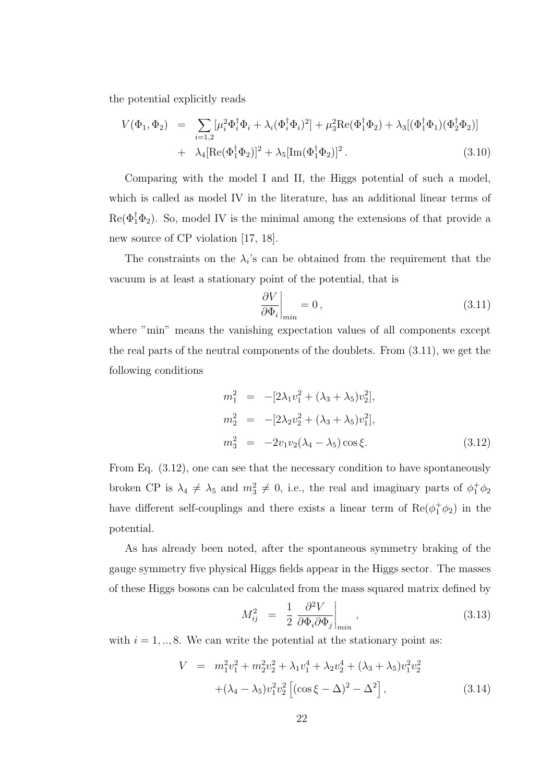the potential explicitly reads

$$
V(\Phi_1, \Phi_2) = \sum_{i=1,2} [\mu_i^2 \Phi_i^{\dagger} \Phi_i + \lambda_i (\Phi_i^{\dagger} \Phi_i)^2] + \mu_3^2 \text{Re}(\Phi_1^{\dagger} \Phi_2) + \lambda_3 [(\Phi_1^{\dagger} \Phi_1)(\Phi_2^{\dagger} \Phi_2)] + \lambda_4 [\text{Re}(\Phi_1^{\dagger} \Phi_2)]^2 + \lambda_5 [\text{Im}(\Phi_1^{\dagger} \Phi_2)]^2.
$$
 (3.10)

Comparing with the model I and II, the Higgs potential of such a model, which is called as model IV in the literature, has an additional linear terms of  $\text{Re}(\Phi_1^{\dagger} \Phi_2)$ . So, model IV is the minimal among the extensions of that provide a new source of CP violation [17, 18].

The constraints on the  $\lambda_i$ 's can be obtained from the requirement that the vacuum is at least a stationary point of the potential, that is

$$
\left. \frac{\partial V}{\partial \Phi_i} \right|_{min} = 0, \tag{3.11}
$$

where "min" means the vanishing expectation values of all components except the real parts of the neutral components of the doublets. From (3.11), we get the following conditions

$$
m_1^2 = -[2\lambda_1 v_1^2 + (\lambda_3 + \lambda_5) v_2^2],
$$
  
\n
$$
m_2^2 = -[2\lambda_2 v_2^2 + (\lambda_3 + \lambda_5) v_1^2],
$$
  
\n
$$
m_3^2 = -2v_1 v_2 (\lambda_4 - \lambda_5) \cos \xi.
$$
\n(3.12)

From Eq. (3.12), one can see that the necessary condition to have spontaneously broken CP is  $\lambda_4 \neq \lambda_5$  and  $m_3^2 \neq 0$ , i.e., the real and imaginary parts of  $\phi_1^+ \phi_2$ have different self-couplings and there exists a linear term of  $\text{Re}(\phi_1^+\phi_2)$  in the potential.

As has already been noted, after the spontaneous symmetry braking of the gauge symmetry five physical Higgs fields appear in the Higgs sector. The masses of these Higgs bosons can be calculated from the mass squared matrix defined by

$$
M_{ij}^2 = \frac{1}{2} \frac{\partial^2 V}{\partial \Phi_i \partial \Phi_j} \bigg|_{min} , \qquad (3.13)
$$

with  $i = 1, \ldots, 8$ . We can write the potential at the stationary point as:

$$
V = m_1^2 v_1^2 + m_2^2 v_2^2 + \lambda_1 v_1^4 + \lambda_2 v_2^4 + (\lambda_3 + \lambda_5) v_1^2 v_2^2
$$
  
 
$$
+ (\lambda_4 - \lambda_5) v_1^2 v_2^2 \left[ (\cos \xi - \Delta)^2 - \Delta^2 \right],
$$
 (3.14)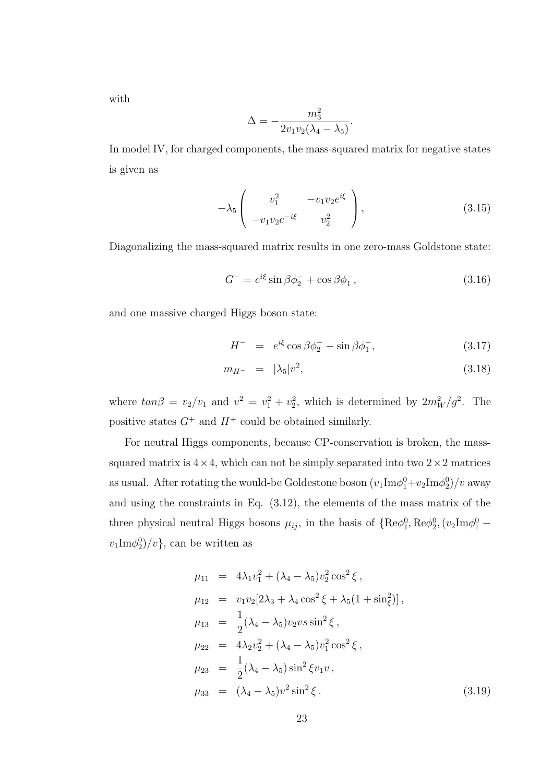with

$$
\Delta = -\frac{m_3^2}{2v_1v_2(\lambda_4 - \lambda_5)}.
$$

In model IV, for charged components, the mass-squared matrix for negative states is given as

$$
-\lambda_5 \begin{pmatrix} v_1^2 & -v_1 v_2 e^{i\xi} \\ -v_1 v_2 e^{-i\xi} & v_2^2 \end{pmatrix}, \tag{3.15}
$$

Diagonalizing the mass-squared matrix results in one zero-mass Goldstone state:

$$
G^- = e^{i\xi} \sin \beta \phi_2^- + \cos \beta \phi_1^-, \qquad (3.16)
$$

and one massive charged Higgs boson state:

$$
H^- = e^{i\xi} \cos \beta \phi_2^- - \sin \beta \phi_1^-, \qquad (3.17)
$$

$$
m_{H^{-}} = |\lambda_5|v^2, \tag{3.18}
$$

where  $tan\beta = v_2/v_1$  and  $v^2 = v_1^2 + v_2^2$ , which is determined by  $2m_W^2/g^2$ . The positive states  $G^+$  and  $H^+$  could be obtained similarly.

For neutral Higgs components, because CP-conservation is broken, the masssquared matrix is  $4 \times 4$ , which can not be simply separated into two  $2 \times 2$  matrices as usual. After rotating the would-be Goldestone boson  $(v_1 \text{Im}\phi_1^0 + v_2 \text{Im}\phi_2^0)/v$  away and using the constraints in Eq. (3.12), the elements of the mass matrix of the three physical neutral Higgs bosons  $\mu_{ij}$ , in the basis of  $\{ \text{Re}\phi_1^0, \text{Re}\phi_2^0, (v_2\text{Im}\phi_1^0$  $v_1 \text{Im}\phi_2^0 \rangle / v$ , can be written as

$$
\mu_{11} = 4\lambda_1 v_1^2 + (\lambda_4 - \lambda_5) v_2^2 \cos^2 \xi ,
$$
  
\n
$$
\mu_{12} = v_1 v_2 [2\lambda_3 + \lambda_4 \cos^2 \xi + \lambda_5 (1 + \sin_\xi^2)],
$$
  
\n
$$
\mu_{13} = \frac{1}{2} (\lambda_4 - \lambda_5) v_2 v s \sin^2 \xi ,
$$
  
\n
$$
\mu_{22} = 4\lambda_2 v_2^2 + (\lambda_4 - \lambda_5) v_1^2 \cos^2 \xi ,
$$
  
\n
$$
\mu_{23} = \frac{1}{2} (\lambda_4 - \lambda_5) \sin^2 \xi v_1 v ,
$$
  
\n
$$
\mu_{33} = (\lambda_4 - \lambda_5) v^2 \sin^2 \xi .
$$
\n(3.19)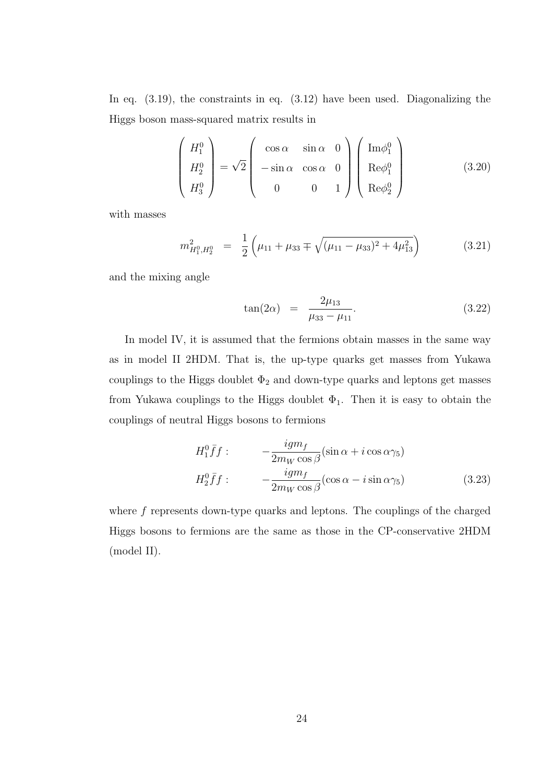In eq.  $(3.19)$ , the constraints in eq.  $(3.12)$  have been used. Diagonalizing the Higgs boson mass-squared matrix results in

$$
\begin{pmatrix}\nH_1^0 \\
H_2^0 \\
H_3^0\n\end{pmatrix} = \sqrt{2} \begin{pmatrix}\n\cos \alpha & \sin \alpha & 0 \\
-\sin \alpha & \cos \alpha & 0 \\
0 & 0 & 1\n\end{pmatrix} \begin{pmatrix}\n\text{Im}\phi_1^0 \\
\text{Re}\phi_1^0 \\
\text{Re}\phi_2^0\n\end{pmatrix}
$$
\n(3.20)

with masses

$$
m_{H_1^0, H_2^0}^2 = \frac{1}{2} \left( \mu_{11} + \mu_{33} \mp \sqrt{(\mu_{11} - \mu_{33})^2 + 4\mu_{13}^2} \right) \tag{3.21}
$$

and the mixing angle

$$
\tan(2\alpha) = \frac{2\mu_{13}}{\mu_{33} - \mu_{11}}.\tag{3.22}
$$

In model IV, it is assumed that the fermions obtain masses in the same way as in model II 2HDM. That is, the up-type quarks get masses from Yukawa couplings to the Higgs doublet  $\Phi_2$  and down-type quarks and leptons get masses from Yukawa couplings to the Higgs doublet  $\Phi_1$ . Then it is easy to obtain the couplings of neutral Higgs bosons to fermions

$$
H_1^0 \bar{f} f: \qquad -\frac{i g m_f}{2m_W \cos \beta} (\sin \alpha + i \cos \alpha \gamma_5)
$$
  

$$
H_2^0 \bar{f} f: \qquad -\frac{i g m_f}{2m_W \cos \beta} (\cos \alpha - i \sin \alpha \gamma_5)
$$
(3.23)

where  $f$  represents down-type quarks and leptons. The couplings of the charged Higgs bosons to fermions are the same as those in the CP-conservative 2HDM (model II).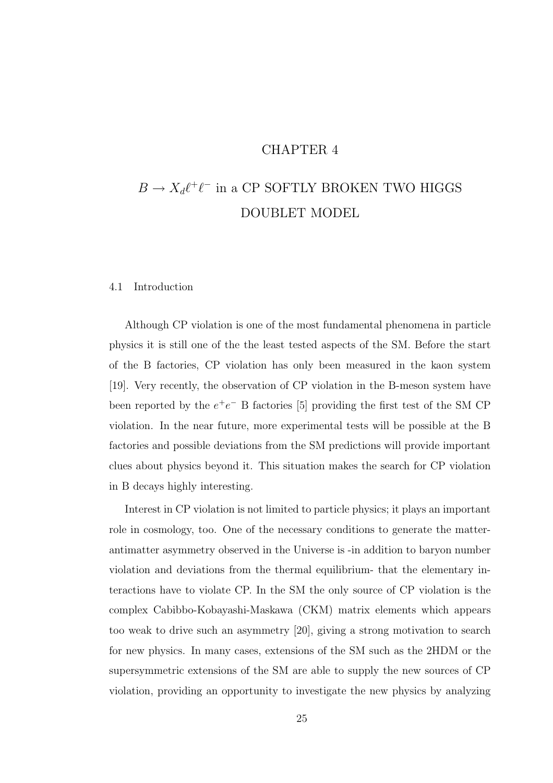### CHAPTER 4

# $B \to X_d \ell^+ \ell^-$  in a CP SOFTLY BROKEN TWO HIGGS DOUBLET MODEL

#### 4.1 Introduction

Although CP violation is one of the most fundamental phenomena in particle physics it is still one of the the least tested aspects of the SM. Before the start of the B factories, CP violation has only been measured in the kaon system [19]. Very recently, the observation of CP violation in the B-meson system have been reported by the  $e^+e^-$  B factories [5] providing the first test of the SM CP violation. In the near future, more experimental tests will be possible at the B factories and possible deviations from the SM predictions will provide important clues about physics beyond it. This situation makes the search for CP violation in B decays highly interesting.

Interest in CP violation is not limited to particle physics; it plays an important role in cosmology, too. One of the necessary conditions to generate the matterantimatter asymmetry observed in the Universe is -in addition to baryon number violation and deviations from the thermal equilibrium- that the elementary interactions have to violate CP. In the SM the only source of CP violation is the complex Cabibbo-Kobayashi-Maskawa (CKM) matrix elements which appears too weak to drive such an asymmetry [20], giving a strong motivation to search for new physics. In many cases, extensions of the SM such as the 2HDM or the supersymmetric extensions of the SM are able to supply the new sources of CP violation, providing an opportunity to investigate the new physics by analyzing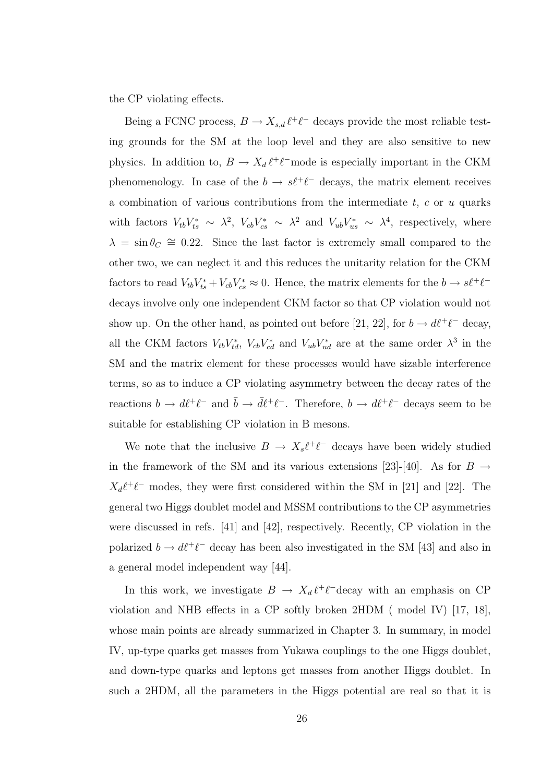the CP violating effects.

Being a FCNC process,  $B \to X_{s,d} \ell^+ \ell^-$  decays provide the most reliable testing grounds for the SM at the loop level and they are also sensitive to new physics. In addition to,  $B \to X_d \ell^+ \ell^-$  mode is especially important in the CKM phenomenology. In case of the  $b \to s\ell^+\ell^-$  decays, the matrix element receives a combination of various contributions from the intermediate  $t, c$  or  $u$  quarks with factors  $V_{tb}V_{ts}^* \sim \lambda^2$ ,  $V_{cb}V_{cs}^* \sim \lambda^2$  and  $V_{ub}V_{us}^* \sim \lambda^4$ , respectively, where  $\lambda = \sin \theta_C \approx 0.22$ . Since the last factor is extremely small compared to the other two, we can neglect it and this reduces the unitarity relation for the CKM factors to read  $V_{tb}V_{ts}^* + V_{cb}V_{cs}^* \approx 0$ . Hence, the matrix elements for the  $b \to s\ell^+\ell^$ decays involve only one independent CKM factor so that CP violation would not show up. On the other hand, as pointed out before [21, 22], for  $b \to d\ell^+\ell^-$  decay, all the CKM factors  $V_{tb}V_{td}^*$ ,  $V_{cb}V_{cd}^*$  and  $V_{ub}V_{ud}^*$  are at the same order  $\lambda^3$  in the SM and the matrix element for these processes would have sizable interference terms, so as to induce a CP violating asymmetry between the decay rates of the reactions  $b \to d\ell^+\ell^-$  and  $\bar{b} \to \bar{d}\ell^+\ell^-$ . Therefore,  $b \to d\ell^+\ell^-$  decays seem to be suitable for establishing CP violation in B mesons.

We note that the inclusive  $B \to X_s \ell^+ \ell^-$  decays have been widely studied in the framework of the SM and its various extensions [23]-[40]. As for  $B \rightarrow$  $X_d \ell^+ \ell^-$  modes, they were first considered within the SM in [21] and [22]. The general two Higgs doublet model and MSSM contributions to the CP asymmetries were discussed in refs. [41] and [42], respectively. Recently, CP violation in the polarized  $b \to d\ell^+\ell^-$  decay has been also investigated in the SM [43] and also in a general model independent way [44].

In this work, we investigate  $B \to X_d \ell^+ \ell^-$  decay with an emphasis on CP violation and NHB effects in a CP softly broken 2HDM ( model IV) [17, 18], whose main points are already summarized in Chapter 3. In summary, in model IV, up-type quarks get masses from Yukawa couplings to the one Higgs doublet, and down-type quarks and leptons get masses from another Higgs doublet. In such a 2HDM, all the parameters in the Higgs potential are real so that it is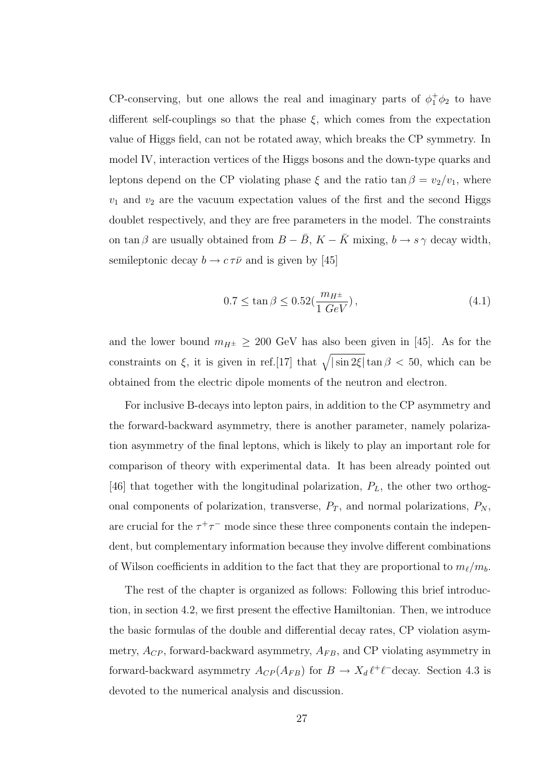CP-conserving, but one allows the real and imaginary parts of  $\phi_1^+ \phi_2$  to have different self-couplings so that the phase  $\xi$ , which comes from the expectation value of Higgs field, can not be rotated away, which breaks the CP symmetry. In model IV, interaction vertices of the Higgs bosons and the down-type quarks and leptons depend on the CP violating phase  $\xi$  and the ratio tan  $\beta = v_2/v_1$ , where  $v_1$  and  $v_2$  are the vacuum expectation values of the first and the second Higgs doublet respectively, and they are free parameters in the model. The constraints on tan  $\beta$  are usually obtained from  $B - \bar{B}$ ,  $K - \bar{K}$  mixing,  $b \rightarrow s \gamma$  decay width, semileptonic decay  $b \to c \tau \bar{\nu}$  and is given by [45]

$$
0.7 \le \tan \beta \le 0.52(\frac{m_{H^{\pm}}}{1 \ GeV})\,,\tag{4.1}
$$

and the lower bound  $m_{H^{\pm}} \geq 200$  GeV has also been given in [45]. As for the constraints on  $\xi$ , it is given in ref.[17] that  $\sqrt{|\sin 2\xi|} \tan \beta < 50$ , which can be obtained from the electric dipole moments of the neutron and electron.

For inclusive B-decays into lepton pairs, in addition to the CP asymmetry and the forward-backward asymmetry, there is another parameter, namely polarization asymmetry of the final leptons, which is likely to play an important role for comparison of theory with experimental data. It has been already pointed out [46] that together with the longitudinal polarization,  $P_L$ , the other two orthogonal components of polarization, transverse,  $P_T$ , and normal polarizations,  $P_N$ , are crucial for the  $\tau^+\tau^-$  mode since these three components contain the independent, but complementary information because they involve different combinations of Wilson coefficients in addition to the fact that they are proportional to  $m_{\ell}/m_b$ .

The rest of the chapter is organized as follows: Following this brief introduction, in section 4.2, we first present the effective Hamiltonian. Then, we introduce the basic formulas of the double and differential decay rates, CP violation asymmetry,  $A_{CP}$ , forward-backward asymmetry,  $A_{FB}$ , and CP violating asymmetry in forward-backward asymmetry  $A_{CP}(A_{FB})$  for  $B \to X_d \ell^+ \ell^-$ decay. Section 4.3 is devoted to the numerical analysis and discussion.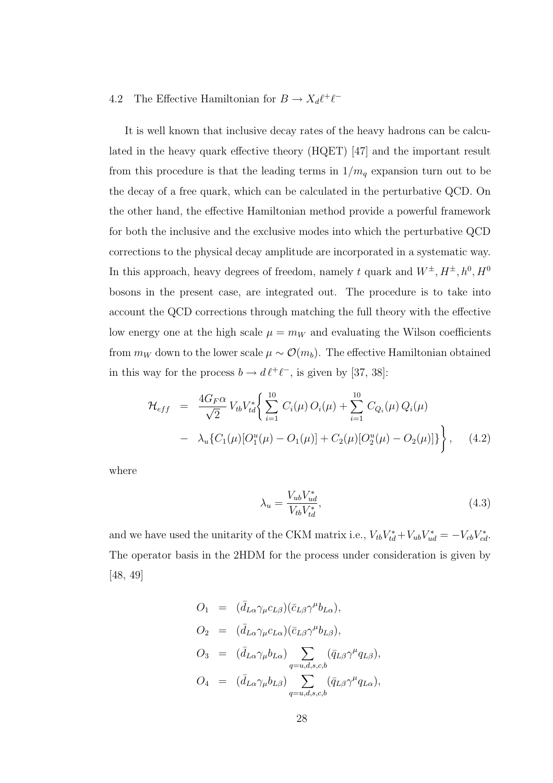# 4.2 The Effective Hamiltonian for  $B \to X_d \ell^+ \ell^-$

It is well known that inclusive decay rates of the heavy hadrons can be calculated in the heavy quark effective theory (HQET) [47] and the important result from this procedure is that the leading terms in  $1/m_q$  expansion turn out to be the decay of a free quark, which can be calculated in the perturbative QCD. On the other hand, the effective Hamiltonian method provide a powerful framework for both the inclusive and the exclusive modes into which the perturbative QCD corrections to the physical decay amplitude are incorporated in a systematic way. In this approach, heavy degrees of freedom, namely t quark and  $W^{\pm}$ ,  $H^{\pm}$ ,  $h^0$ ,  $H^0$ bosons in the present case, are integrated out. The procedure is to take into account the QCD corrections through matching the full theory with the effective low energy one at the high scale  $\mu = m_W$  and evaluating the Wilson coefficients from  $m_W$  down to the lower scale  $\mu \sim \mathcal{O}(m_b)$ . The effective Hamiltonian obtained in this way for the process  $b \to d \ell^+ \ell^-$ , is given by [37, 38]:

$$
\mathcal{H}_{eff} = \frac{4G_F \alpha}{\sqrt{2}} V_{tb} V_{td}^* \bigg\{ \sum_{i=1}^{10} C_i(\mu) O_i(\mu) + \sum_{i=1}^{10} C_{Q_i}(\mu) Q_i(\mu) - \lambda_u \{ C_1(\mu) [O_1^u(\mu) - O_1(\mu)] + C_2(\mu) [O_2^u(\mu) - O_2(\mu)] \} \bigg\}, \quad (4.2)
$$

where

$$
\lambda_u = \frac{V_{ub} V_{ud}^*}{V_{tb} V_{td}^*},\tag{4.3}
$$

and we have used the unitarity of the CKM matrix i.e.,  $V_{tb}V_{td}^* + V_{ub}V_{ud}^* = -V_{cb}V_{cd}^*$ . The operator basis in the 2HDM for the process under consideration is given by [48, 49]

$$
O_1 = (\bar{d}_{L\alpha} \gamma_\mu c_{L\beta})(\bar{c}_{L\beta} \gamma^\mu b_{L\alpha}),
$$
  
\n
$$
O_2 = (\bar{d}_{L\alpha} \gamma_\mu c_{L\alpha})(\bar{c}_{L\beta} \gamma^\mu b_{L\beta}),
$$
  
\n
$$
O_3 = (\bar{d}_{L\alpha} \gamma_\mu b_{L\alpha}) \sum_{q=u,d,s,c,b} (\bar{q}_{L\beta} \gamma^\mu q_{L\beta}),
$$
  
\n
$$
O_4 = (\bar{d}_{L\alpha} \gamma_\mu b_{L\beta}) \sum_{q=u,d,s,c,b} (\bar{q}_{L\beta} \gamma^\mu q_{L\alpha}),
$$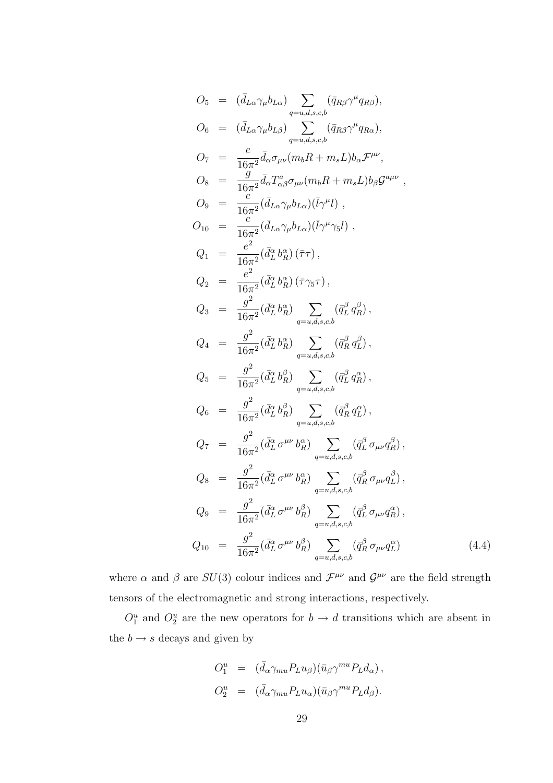$$
O_5 = (\bar{d}_{L\alpha}\gamma_\mu b_{L\alpha}) \sum_{q=u,d,s,c,b} (\bar{q}_{R\beta}\gamma^\mu q_{R\beta}),
$$
  
\n
$$
O_6 = (\bar{d}_{L\alpha}\gamma_\mu b_{L\beta}) \sum_{q=u,d,s,c,b} (\bar{q}_{R\beta}\gamma^\mu q_{R\alpha}),
$$
  
\n
$$
O_7 = \frac{e}{16\pi^2} \bar{d}_{\alpha}\sigma_{\mu\nu} (m_bR + m_sL)b_{\alpha}\mathcal{F}^{\mu\nu},
$$
  
\n
$$
O_8 = \frac{g}{16\pi^2} (\bar{d}_{L\alpha}\gamma_\mu b_{L\alpha})(\bar{l}\gamma^\mu l) ,
$$
  
\n
$$
O_{10} = \frac{e}{16\pi^2} (\bar{d}_{L\alpha}\gamma_\mu b_{L\alpha})(\bar{l}\gamma^\mu l) ,
$$
  
\n
$$
O_1 = \frac{e^2}{16\pi^2} (\bar{d}_{L\alpha}^2\gamma_\mu b_{L\alpha})(\bar{l}\gamma^\mu \gamma_5 l) ,
$$
  
\n
$$
Q_2 = \frac{e^2}{16\pi^2} (\bar{d}_{L}^2 b_R^{\alpha}) (\bar{\tau}\tau) ,
$$
  
\n
$$
Q_3 = \frac{g^2}{16\pi^2} (\bar{d}_{L}^{\alpha} b_R^{\alpha}) \sum_{q=u,d,s,c,b} (\bar{q}_{L}^{\beta} q_R^{\beta}) ,
$$
  
\n
$$
Q_4 = \frac{g^2}{16\pi^2} (\bar{d}_{L}^{\alpha} b_R^{\alpha}) \sum_{q=u,d,s,c,b} (\bar{q}_{L}^{\beta} q_R^{\beta}) ,
$$
  
\n
$$
Q_5 = \frac{g^2}{16\pi^2} (\bar{d}_{L}^{\alpha} b_R^{\beta}) \sum_{q=u,d,s,c,b} (\bar{q}_{R}^{\beta} q_L^{\beta}) ,
$$
  
\n
$$
Q_6 = \frac{g^2}{16\pi^2} (\bar{d}_{L}^{\alpha} b_R^{\beta}) \sum_{q=u,d,s,c,b} (\bar{q}_{R}^{\beta} q_R^{\alpha}) ,
$$
  
\n
$$
Q_7 = \frac{g^2}{16\pi^2} (\bar{d}_{L}^{\alpha} \sigma^{\mu\nu
$$

where  $\alpha$  and  $\beta$  are  $SU(3)$  colour indices and  $\mathcal{F}^{\mu\nu}$  and  $\mathcal{G}^{\mu\nu}$  are the field strength tensors of the electromagnetic and strong interactions, respectively.

 $O_1^u$  and  $O_2^u$  are the new operators for  $b \to d$  transitions which are absent in the  $b\to s$  decays and given by

$$
O_1^u = (\bar{d}_{\alpha} \gamma_{mu} P_L u_{\beta}) (\bar{u}_{\beta} \gamma^{mu} P_L d_{\alpha}),
$$
  
\n
$$
O_2^u = (\bar{d}_{\alpha} \gamma_{mu} P_L u_{\alpha}) (\bar{u}_{\beta} \gamma^{mu} P_L d_{\beta}).
$$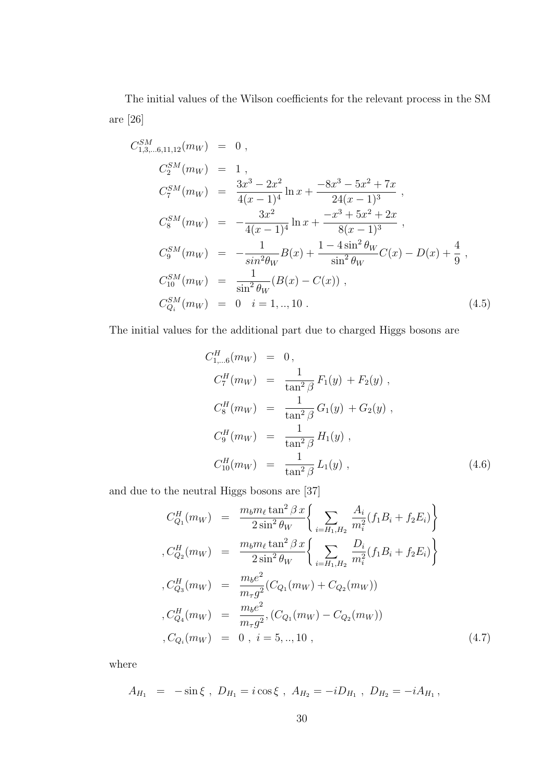The initial values of the Wilson coefficients for the relevant process in the SM are [26]

$$
C_{1,3,...6,11,12}^{SM}(m_W) = 0,
$$
  
\n
$$
C_2^{SM}(m_W) = 1,
$$
  
\n
$$
C_7^{SM}(m_W) = \frac{3x^3 - 2x^2}{4(x - 1)^4} \ln x + \frac{-8x^3 - 5x^2 + 7x}{24(x - 1)^3},
$$
  
\n
$$
C_8^{SM}(m_W) = -\frac{3x^2}{4(x - 1)^4} \ln x + \frac{-x^3 + 5x^2 + 2x}{8(x - 1)^3},
$$
  
\n
$$
C_9^{SM}(m_W) = -\frac{1}{\sin^2 \theta_W} B(x) + \frac{1 - 4\sin^2 \theta_W}{\sin^2 \theta_W} C(x) - D(x) + \frac{4}{9},
$$
  
\n
$$
C_{0i}^{SM}(m_W) = \frac{1}{\sin^2 \theta_W} (B(x) - C(x)),
$$
  
\n
$$
C_{Q_i}^{SM}(m_W) = 0 \quad i = 1, ..., 10.
$$
  
\n(4.5)

The initial values for the additional part due to charged Higgs bosons are

$$
C_{1,\dots 6}^{H}(m_W) = 0,
$$
  
\n
$$
C_7^{H}(m_W) = \frac{1}{\tan^2 \beta} F_1(y) + F_2(y),
$$
  
\n
$$
C_8^{H}(m_W) = \frac{1}{\tan^2 \beta} G_1(y) + G_2(y),
$$
  
\n
$$
C_9^{H}(m_W) = \frac{1}{\tan^2 \beta} H_1(y),
$$
  
\n
$$
C_{10}^{H}(m_W) = \frac{1}{\tan^2 \beta} L_1(y),
$$
\n(4.6)

and due to the neutral Higgs bosons are [37]

$$
C_{Q_1}^H(m_W) = \frac{m_b m_\ell \tan^2 \beta x}{2 \sin^2 \theta_W} \left\{ \sum_{i=H_1, H_2} \frac{A_i}{m_i^2} (f_1 B_i + f_2 E_i) \right\}
$$
  
\n
$$
C_{Q_2}^H(m_W) = \frac{m_b m_\ell \tan^2 \beta x}{2 \sin^2 \theta_W} \left\{ \sum_{i=H_1, H_2} \frac{D_i}{m_i^2} (f_1 B_i + f_2 E_i) \right\}
$$
  
\n
$$
C_{Q_3}^H(m_W) = \frac{m_b e^2}{m_\tau g^2} (C_{Q_1}(m_W) + C_{Q_2}(m_W))
$$
  
\n
$$
C_{Q_4}^H(m_W) = \frac{m_b e^2}{m_\tau g^2}, (C_{Q_1}(m_W) - C_{Q_2}(m_W))
$$
  
\n
$$
C_{Q_i}(m_W) = 0, i = 5, ..., 10,
$$
\n(4.7)

where

$$
A_{H_1} = -\sin\xi \, , \, D_{H_1} = i\cos\xi \, , \, A_{H_2} = -iD_{H_1} \, , \, D_{H_2} = -iA_{H_1} \, ,
$$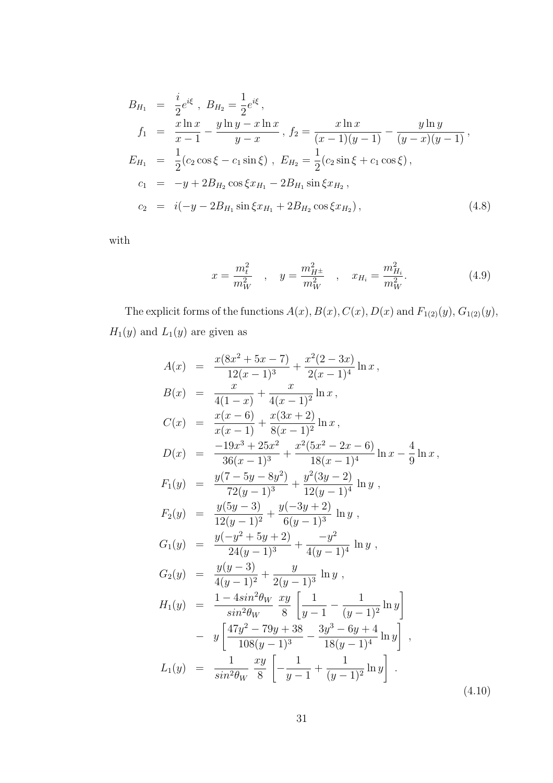$$
B_{H_1} = \frac{i}{2}e^{i\xi}, B_{H_2} = \frac{1}{2}e^{i\xi},
$$
  
\n
$$
f_1 = \frac{x \ln x}{x - 1} - \frac{y \ln y - x \ln x}{y - x}, f_2 = \frac{x \ln x}{(x - 1)(y - 1)} - \frac{y \ln y}{(y - x)(y - 1)},
$$
  
\n
$$
E_{H_1} = \frac{1}{2}(c_2 \cos \xi - c_1 \sin \xi), E_{H_2} = \frac{1}{2}(c_2 \sin \xi + c_1 \cos \xi),
$$
  
\n
$$
c_1 = -y + 2B_{H_2} \cos \xi x_{H_1} - 2B_{H_1} \sin \xi x_{H_2},
$$
  
\n
$$
c_2 = i(-y - 2B_{H_1} \sin \xi x_{H_1} + 2B_{H_2} \cos \xi x_{H_2}),
$$
\n(4.8)

with

$$
x = \frac{m_t^2}{m_W^2} \quad , \quad y = \frac{m_{H^{\pm}}^2}{m_W^2} \quad , \quad x_{H_i} = \frac{m_{H_i}^2}{m_W^2}.
$$
 (4.9)

The explicit forms of the functions  $A(x)$ ,  $B(x)$ ,  $C(x)$ ,  $D(x)$  and  $F_{1(2)}(y)$ ,  $G_{1(2)}(y)$ ,  $H_1(y)$  and  $L_1(y)$  are given as

$$
A(x) = \frac{x(8x^2 + 5x - 7)}{12(x - 1)^3} + \frac{x^2(2 - 3x)}{2(x - 1)^4} \ln x,
$$
  
\n
$$
B(x) = \frac{x}{4(1 - x)} + \frac{x}{4(x - 1)^2} \ln x,
$$
  
\n
$$
C(x) = \frac{x(x - 6)}{x(x - 1)} + \frac{x(3x + 2)}{8(x - 1)^2} \ln x,
$$
  
\n
$$
D(x) = \frac{-19x^3 + 25x^2}{36(x - 1)^3} + \frac{x^2(5x^2 - 2x - 6)}{18(x - 1)^4} \ln x - \frac{4}{9} \ln x,
$$
  
\n
$$
F_1(y) = \frac{y(7 - 5y - 8y^2)}{72(y - 1)^3} + \frac{y^2(3y - 2)}{12(y - 1)^4} \ln y,
$$
  
\n
$$
F_2(y) = \frac{y(5y - 3)}{12(y - 1)^2} + \frac{y(-3y + 2)}{6(y - 1)^3} \ln y,
$$
  
\n
$$
G_1(y) = \frac{y(-y^2 + 5y + 2)}{24(y - 1)^3} + \frac{-y^2}{4(y - 1)^4} \ln y,
$$
  
\n
$$
G_2(y) = \frac{y(y - 3)}{4(y - 1)^2} + \frac{y}{2(y - 1)^3} \ln y,
$$
  
\n
$$
H_1(y) = \frac{1 - 4\sin^2\theta_W}{\sin^2\theta_W} \frac{xy}{8} \left[ \frac{1}{y - 1} - \frac{1}{(y - 1)^2} \ln y \right],
$$
  
\n
$$
L_1(y) = \frac{1}{\sin^2\theta_W} \frac{xy}{8} \left[ -\frac{1}{y - 1} + \frac{1}{(y - 1)^2} \ln y \right],
$$
  
\n
$$
L_1(y) = \frac{1}{\sin^2\theta_W} \frac{xy}{8} \left[ -\frac{1}{y - 1} + \frac{1}{(y - 1)^2} \ln y \right].
$$
  
\n(4.10)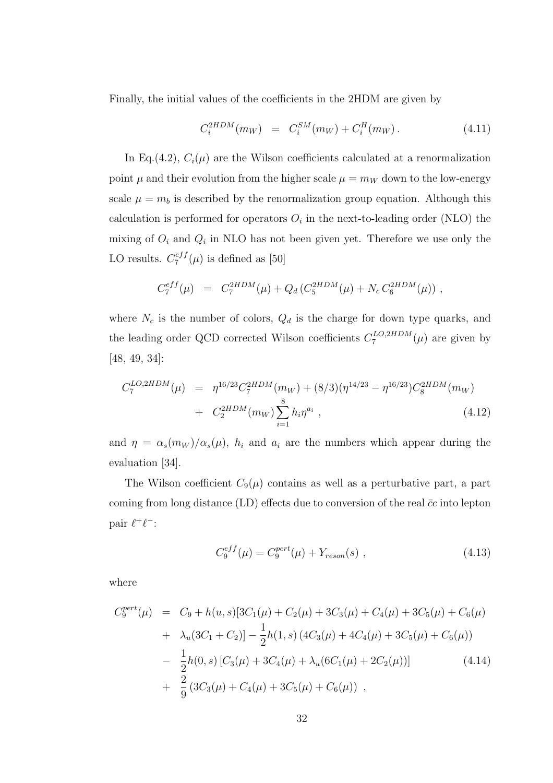Finally, the initial values of the coefficients in the 2HDM are given by

$$
C_i^{2HDM}(m_W) = C_i^{SM}(m_W) + C_i^H(m_W). \qquad (4.11)
$$

In Eq.(4.2),  $C_i(\mu)$  are the Wilson coefficients calculated at a renormalization point  $\mu$  and their evolution from the higher scale  $\mu = m_W$  down to the low-energy scale  $\mu = m_b$  is described by the renormalization group equation. Although this calculation is performed for operators  $O_i$  in the next-to-leading order (NLO) the mixing of  $O_i$  and  $Q_i$  in NLO has not been given yet. Therefore we use only the LO results.  $C_7^{eff}$  $\zeta_7^{e_{JJ}}(\mu)$  is defined as [50]

$$
C_7^{eff}(\mu) = C_7^{2HDM}(\mu) + Q_d (C_5^{2HDM}(\mu) + N_c C_6^{2HDM}(\mu)),
$$

where  $N_c$  is the number of colors,  $Q_d$  is the charge for down type quarks, and the leading order QCD corrected Wilson coefficients  $C_7^{LO,2HDM}$  $T_7^{LO,2HDM}(\mu)$  are given by [48, 49, 34]:

$$
C_7^{LO,2HDM}(\mu) = \eta^{16/23} C_7^{2HDM}(m_W) + (8/3)(\eta^{14/23} - \eta^{16/23}) C_8^{2HDM}(m_W) + C_2^{2HDM}(m_W) \sum_{i=1}^8 h_i \eta^{a_i}, \qquad (4.12)
$$

and  $\eta = \alpha_s(m_W)/\alpha_s(\mu)$ ,  $h_i$  and  $a_i$  are the numbers which appear during the evaluation [34].

The Wilson coefficient  $C_9(\mu)$  contains as well as a perturbative part, a part coming from long distance (LD) effects due to conversion of the real  $\bar{c}c$  into lepton pair  $\ell^+\ell^-$ :

$$
C_9^{eff}(\mu) = C_9^{pert}(\mu) + Y_{reson}(s) , \qquad (4.13)
$$

where

$$
C_9^{pert}(\mu) = C_9 + h(u, s)[3C_1(\mu) + C_2(\mu) + 3C_3(\mu) + C_4(\mu) + 3C_5(\mu) + C_6(\mu)
$$
  
+ 
$$
\lambda_u(3C_1 + C_2)] - \frac{1}{2}h(1, s) (4C_3(\mu) + 4C_4(\mu) + 3C_5(\mu) + C_6(\mu))
$$
  
- 
$$
\frac{1}{2}h(0, s) [C_3(\mu) + 3C_4(\mu) + \lambda_u(6C_1(\mu) + 2C_2(\mu))]
$$
(4.14)  
+ 
$$
\frac{2}{9} (3C_3(\mu) + C_4(\mu) + 3C_5(\mu) + C_6(\mu))
$$
,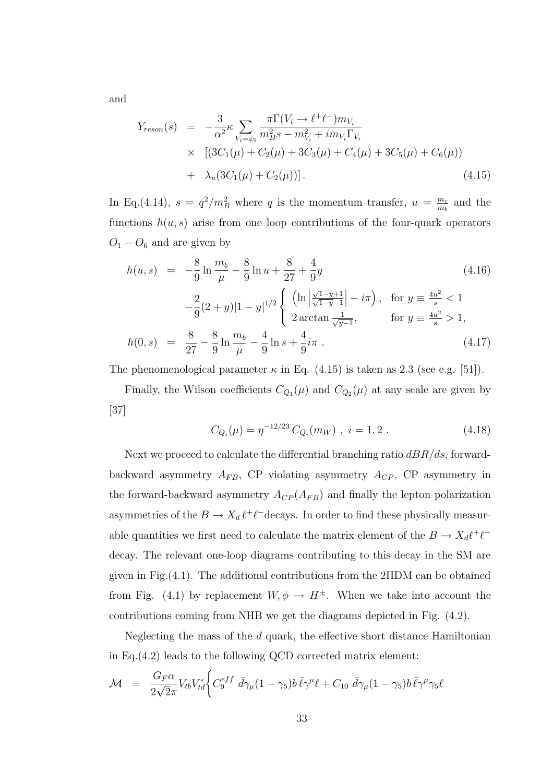and

$$
Y_{reson}(s) = -\frac{3}{\alpha^2} \kappa \sum_{V_i = \psi_i} \frac{\pi \Gamma(V_i \to \ell^+ \ell^-) m_{V_i}}{m_B^2 s - m_{V_i}^2 + i m_{V_i} \Gamma_{V_i}} \times \left[ (3C_1(\mu) + C_2(\mu) + 3C_3(\mu) + C_4(\mu) + 3C_5(\mu) + C_6(\mu)) \right. \\ + \lambda_u (3C_1(\mu) + C_2(\mu)) \right]. \tag{4.15}
$$

In Eq.(4.14),  $s = q^2/m_B^2$  where q is the momentum transfer,  $u = \frac{m_c}{m_b}$  $\frac{m_c}{m_b}$  and the functions  $h(u, s)$  arise from one loop contributions of the four-quark operators  $O_1 - O_6$  and are given by

$$
h(u, s) = -\frac{8}{9} \ln \frac{m_b}{\mu} - \frac{8}{9} \ln u + \frac{8}{27} + \frac{4}{9}y
$$
(4.16)  

$$
-\frac{2}{9}(2+y)|1-y|^{1/2} \begin{cases} \left(\ln \left|\frac{\sqrt{1-y}+1}{\sqrt{1-y}-1}\right| - i\pi\right), & \text{for } y \equiv \frac{4u^2}{s} < 1\\ 2 \arctan \frac{1}{\sqrt{y-1}}, & \text{for } y \equiv \frac{4u^2}{s} > 1, \end{cases}
$$

$$
h(0, s) = \frac{8}{27} - \frac{8}{9} \ln \frac{m_b}{\mu} - \frac{4}{9} \ln s + \frac{4}{9} i\pi
$$
(4.17)

The phenomenological parameter  $\kappa$  in Eq. (4.15) is taken as 2.3 (see e.g. [51]).

Finally, the Wilson coefficients  $C_{Q_1}(\mu)$  and  $C_{Q_2}(\mu)$  at any scale are given by [37]

$$
C_{Q_i}(\mu) = \eta^{-12/23} C_{Q_i}(m_W) , \quad i = 1, 2 . \tag{4.18}
$$

Next we proceed to calculate the differential branching ratio  $dBR/ds$ , forwardbackward asymmetry  $A_{FB}$ , CP violating asymmetry  $A_{CP}$ , CP asymmetry in the forward-backward asymmetry  $A_{CP}(A_{FB})$  and finally the lepton polarization asymmetries of the  $B \to X_d \ell^+ \ell^-$ decays. In order to find these physically measurable quantities we first need to calculate the matrix element of the  $B \to X_d \ell^+ \ell^$ decay. The relevant one-loop diagrams contributing to this decay in the SM are given in Fig.(4.1). The additional contributions from the 2HDM can be obtained from Fig. (4.1) by replacement  $W, \phi \rightarrow H^{\pm}$ . When we take into account the contributions coming from NHB we get the diagrams depicted in Fig. (4.2).

Neglecting the mass of the  $d$  quark, the effective short distance Hamiltonian in Eq.(4.2) leads to the following QCD corrected matrix element:

$$
\mathcal{M} = \frac{G_F \alpha}{2\sqrt{2}\pi} V_{tb} V_{td}^* \bigg\{ C_9^{eff} \bar{d}\gamma_\mu (1-\gamma_5) b \bar{\ell} \gamma^\mu \ell + C_{10} \bar{d}\gamma_\mu (1-\gamma_5) b \bar{\ell} \gamma^\mu \gamma_5 \ell
$$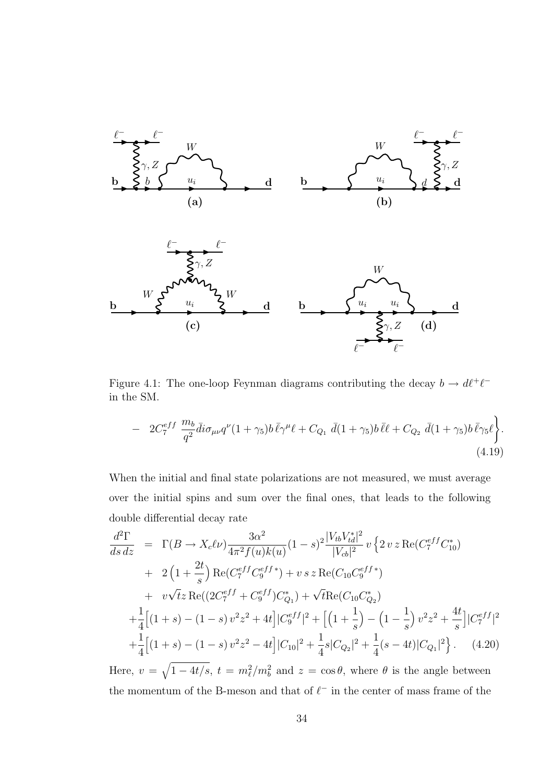

Figure 4.1: The one-loop Feynman diagrams contributing the decay  $b \to d\ell^+\ell^$ in the SM.

$$
- 2C_7^{eff} \frac{m_b}{q^2} \bar{d} i \sigma_{\mu\nu} q^{\nu} (1 + \gamma_5) b \bar{\ell} \gamma^{\mu} \ell + C_{Q_1} \bar{d} (1 + \gamma_5) b \bar{\ell} \ell + C_{Q_2} \bar{d} (1 + \gamma_5) b \bar{\ell} \gamma_5 \ell \bigg\}.
$$
\n(4.19)

When the initial and final state polarizations are not measured, we must average over the initial spins and sum over the final ones, that leads to the following double differential decay rate

$$
\frac{d^2\Gamma}{ds\,dz} = \Gamma(B \to X_c \ell \nu) \frac{3\alpha^2}{4\pi^2 f(u)k(u)} (1-s)^2 \frac{|V_{tb}V_{td}^*|^2}{|V_{cb}|^2} v \{2 v z \text{Re}(C_7^{eff} C_{10}^*)
$$
  
+  $2\left(1+\frac{2t}{s}\right) \text{Re}(C_7^{eff} C_9^{eff}) + v s z \text{Re}(C_{10} C_9^{eff})$   
+  $v\sqrt{t} z \text{Re}((2C_7^{eff} + C_9^{eff})C_{Q_1}^*) + \sqrt{t} \text{Re}(C_{10} C_{Q_2}^*)$   
+  $\frac{1}{4} \left[ (1+s) - (1-s) v^2 z^2 + 4t \right] |C_9^{eff}|^2 + \left[ \left(1+\frac{1}{s}\right) - \left(1-\frac{1}{s}\right) v^2 z^2 + \frac{4t}{s} \right] |C_7^{eff}|^2$   
+  $\frac{1}{4} \left[ (1+s) - (1-s) v^2 z^2 - 4t \right] |C_{10}|^2 + \frac{1}{4} s |C_{Q_2}|^2 + \frac{1}{4} (s-4t) |C_{Q_1}|^2 \}$ . (4.20)

Here,  $v = \sqrt{1 - 4t/s}$ ,  $t = m_{\ell}^2/m_b^2$  and  $z = \cos \theta$ , where  $\theta$  is the angle between the momentum of the B-meson and that of  $\ell^-$  in the center of mass frame of the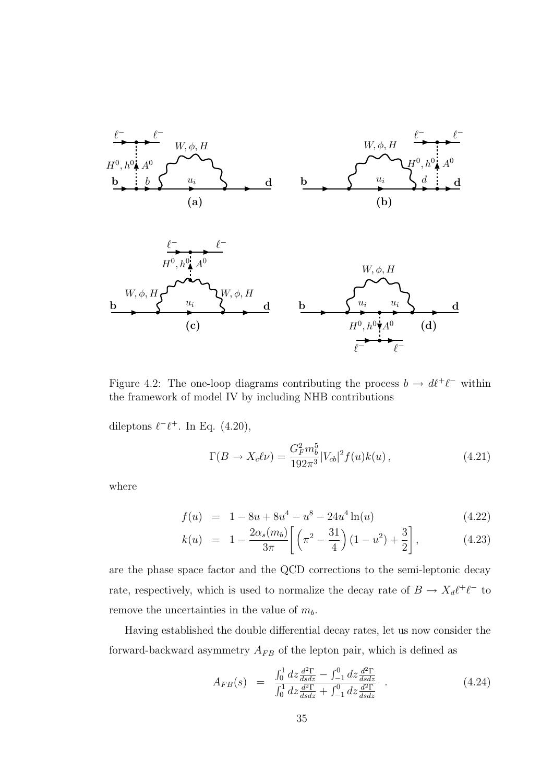

Figure 4.2: The one-loop diagrams contributing the process  $b \to d\ell^+\ell^-$  within the framework of model IV by including NHB contributions

dileptons  $\ell^{-}\ell^{+}$ . In Eq. (4.20),

$$
\Gamma(B \to X_c \ell \nu) = \frac{G_F^2 m_b^5}{192\pi^3} |V_{cb}|^2 f(u) k(u) , \qquad (4.21)
$$

where

$$
f(u) = 1 - 8u + 8u4 - u8 - 24u4 \ln(u)
$$
 (4.22)

$$
k(u) = 1 - \frac{2\alpha_s(m_b)}{3\pi} \left[ \left( \pi^2 - \frac{31}{4} \right) (1 - u^2) + \frac{3}{2} \right], \tag{4.23}
$$

are the phase space factor and the QCD corrections to the semi-leptonic decay rate, respectively, which is used to normalize the decay rate of  $B \to X_d \ell^+ \ell^-$  to remove the uncertainties in the value of  $m_b$ .

Having established the double differential decay rates, let us now consider the forward-backward asymmetry  $A_{FB}$  of the lepton pair, which is defined as

$$
A_{FB}(s) = \frac{\int_0^1 dz \frac{d^2 \Gamma}{ds dz} - \int_{-1}^0 dz \frac{d^2 \Gamma}{ds dz}}{\int_0^1 dz \frac{d^2 \Gamma}{ds dz} + \int_{-1}^0 dz \frac{d^2 \Gamma}{ds dz}} \tag{4.24}
$$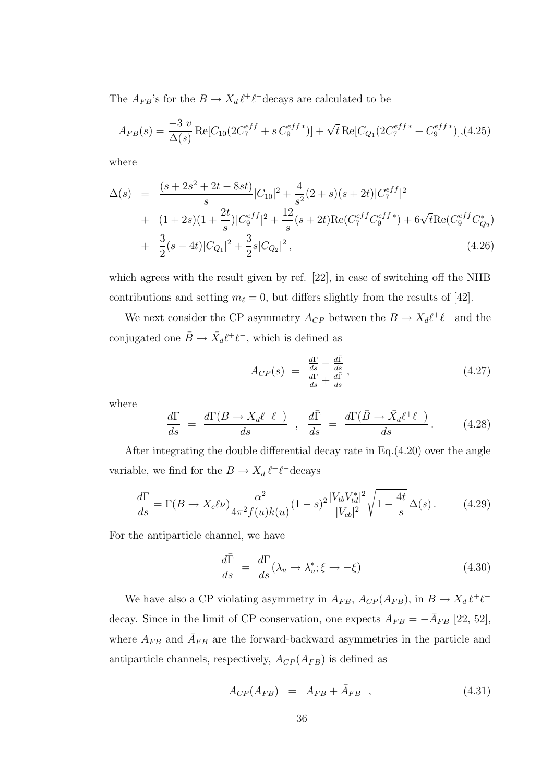The  $A_{FB}$ 's for the  $B \to X_d \ell^+ \ell^-$ decays are calculated to be

$$
A_{FB}(s) = \frac{-3 v}{\Delta(s)} \text{Re}[C_{10}(2C_7^{eff} + s C_9^{eff*})] + \sqrt{t} \text{Re}[C_{Q_1}(2C_7^{eff*} + C_9^{eff*})], (4.25)
$$

where

$$
\Delta(s) = \frac{(s+2s^2+2t-8st)}{s}|C_{10}|^2 + \frac{4}{s^2}(2+s)(s+2t)|C_7^{eff}|^2
$$
  
+ 
$$
(1+2s)(1+\frac{2t}{s})|C_9^{eff}|^2 + \frac{12}{s}(s+2t)\text{Re}(C_7^{eff}C_9^{eff}) + 6\sqrt{t}\text{Re}(C_9^{eff}C_{Q_2}^*)
$$
  
+ 
$$
\frac{3}{2}(s-4t)|C_{Q_1}|^2 + \frac{3}{2}s|C_{Q_2}|^2,
$$
(4.26)

which agrees with the result given by ref. [22], in case of switching off the NHB contributions and setting  $m_{\ell} = 0$ , but differs slightly from the results of [42].

We next consider the CP asymmetry  $A_{CP}$  between the  $B \to X_d \ell^+ \ell^-$  and the conjugated one  $\bar{B} \to \bar{X}_d \ell^+ \ell^-$ , which is defined as

$$
A_{CP}(s) = \frac{\frac{d\Gamma}{ds} - \frac{d\bar{\Gamma}}{ds}}{\frac{d\Gamma}{ds} + \frac{d\bar{\Gamma}}{ds}},\tag{4.27}
$$

where

$$
\frac{d\Gamma}{ds} = \frac{d\Gamma(B \to X_d \ell^+ \ell^-)}{ds} , \frac{d\bar{\Gamma}}{ds} = \frac{d\Gamma(\bar{B} \to \bar{X}_d \ell^+ \ell^-)}{ds} . \tag{4.28}
$$

After integrating the double differential decay rate in Eq.(4.20) over the angle variable, we find for the  $B \to X_d \ell^+ \ell^-$ decays

$$
\frac{d\Gamma}{ds} = \Gamma(B \to X_c \ell \nu) \frac{\alpha^2}{4\pi^2 f(u)k(u)} (1-s)^2 \frac{|V_{tb}V_{td}^*|^2}{|V_{cb}|^2} \sqrt{1 - \frac{4t}{s}} \Delta(s).
$$
 (4.29)

For the antiparticle channel, we have

$$
\frac{d\bar{\Gamma}}{ds} = \frac{d\Gamma}{ds}(\lambda_u \to \lambda_u^*; \xi \to -\xi)
$$
\n(4.30)

We have also a CP violating asymmetry in  $A_{FB}$ ,  $A_{CP}(A_{FB})$ , in  $B \to X_d \ell^+ \ell^$ decay. Since in the limit of CP conservation, one expects  $A_{FB} = -\overline{A}_{FB}$  [22, 52], where  $A_{FB}$  and  $\overline{A}_{FB}$  are the forward-backward asymmetries in the particle and antiparticle channels, respectively,  $A_{CP}(A_{FB})$  is defined as

$$
A_{CP}(A_{FB}) = A_{FB} + \bar{A}_{FB} , \qquad (4.31)
$$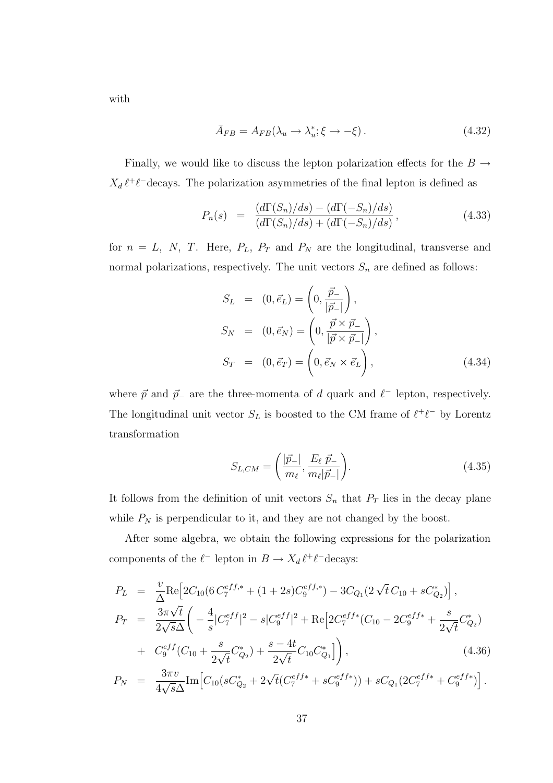with

$$
\bar{A}_{FB} = A_{FB}(\lambda_u \to \lambda_u^*; \xi \to -\xi). \tag{4.32}
$$

Finally, we would like to discuss the lepton polarization effects for the  $B \rightarrow$  $X_d \ell^+ \ell^-$  decays. The polarization asymmetries of the final lepton is defined as

$$
P_n(s) = \frac{(d\Gamma(S_n)/ds) - (d\Gamma(-S_n)/ds)}{(d\Gamma(S_n)/ds) + (d\Gamma(-S_n)/ds)},
$$
\n(4.33)

for  $n = L$ , N, T. Here,  $P_L$ ,  $P_T$  and  $P_N$  are the longitudinal, transverse and normal polarizations, respectively. The unit vectors  $S_n$  are defined as follows:

$$
S_L = (0, \vec{e}_L) = \left(0, \frac{\vec{p}_-}{|\vec{p}_-|}\right),
$$
  
\n
$$
S_N = (0, \vec{e}_N) = \left(0, \frac{\vec{p} \times \vec{p}_-}{|\vec{p} \times \vec{p}_-|}\right),
$$
  
\n
$$
S_T = (0, \vec{e}_T) = \left(0, \vec{e}_N \times \vec{e}_L\right),
$$
\n(4.34)

where  $\vec{p}$  and  $\vec{p}_-$  are the three-momenta of d quark and  $\ell^-$  lepton, respectively. The longitudinal unit vector  $S_L$  is boosted to the CM frame of  $\ell^+ \ell^-$  by Lorentz transformation

$$
S_{L,CM} = \left(\frac{|\vec{p}_{-}|}{m_{\ell}}, \frac{E_{\ell} \ \vec{p}_{-}}{m_{\ell}|\vec{p}_{-}|}\right).
$$
 (4.35)

It follows from the definition of unit vectors  $S_n$  that  $P_T$  lies in the decay plane while  $P_N$  is perpendicular to it, and they are not changed by the boost.

After some algebra, we obtain the following expressions for the polarization components of the  $\ell^-$  lepton in  $B \to X_d \ell^+ \ell^-$ decays:

$$
P_L = \frac{v}{\Delta} \text{Re} \Big[ 2C_{10} (6 C_7^{eff,*} + (1+2s) C_9^{eff,*}) - 3C_{Q_1} (2 \sqrt{t} C_{10} + s C_{Q_2}^*) \Big],
$$
  
\n
$$
P_T = \frac{3\pi \sqrt{t}}{2\sqrt{s}\Delta} \Big( -\frac{4}{s} |C_7^{eff}|^2 - s |C_9^{eff}|^2 + \text{Re} \Big[ 2C_7^{eff*} (C_{10} - 2C_9^{eff*} + \frac{s}{2\sqrt{t}} C_{Q_2}^*) + C_9^{eff} (C_{10} + \frac{s}{2\sqrt{t}} C_{Q_2}^*) + \frac{s - 4t}{2\sqrt{t}} C_{10} C_{Q_1}^* \Big] \Big),
$$
\n(4.36)

$$
P_N = \frac{3\pi v}{4\sqrt{s}\Delta} \text{Im} \Big[ C_{10} (sC_{Q_2}^* + 2\sqrt{t} (C_7^{eff*} + sC_9^{eff*}) ) + sC_{Q_1} (2C_7^{eff*} + C_9^{eff*}) \Big].
$$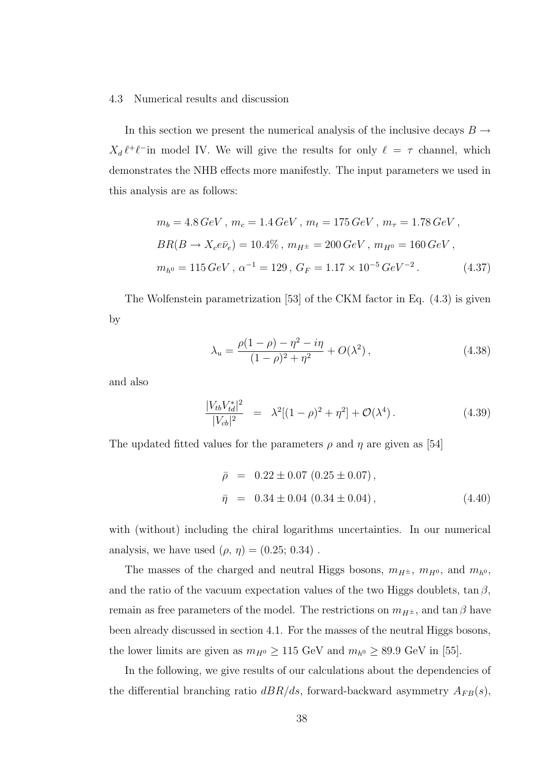#### 4.3 Numerical results and discussion

In this section we present the numerical analysis of the inclusive decays  $B \rightarrow$  $X_d \ell^+ \ell^-$  in model IV. We will give the results for only  $\ell = \tau$  channel, which demonstrates the NHB effects more manifestly. The input parameters we used in this analysis are as follows:

$$
m_b = 4.8 \, GeV \, , \, m_c = 1.4 \, GeV \, , \, m_t = 175 \, GeV \, , \, m_\tau = 1.78 \, GeV \, ,
$$
  
\n
$$
BR(B \to X_c e \bar{\nu}_e) = 10.4\%, \, m_{H^\pm} = 200 \, GeV \, , \, m_{H^0} = 160 \, GeV \, ,
$$
  
\n
$$
m_{h^0} = 115 \, GeV \, , \, \alpha^{-1} = 129 \, , \, G_F = 1.17 \times 10^{-5} \, GeV^{-2} \, . \tag{4.37}
$$

The Wolfenstein parametrization [53] of the CKM factor in Eq. (4.3) is given by

$$
\lambda_u = \frac{\rho(1-\rho) - \eta^2 - i\eta}{(1-\rho)^2 + \eta^2} + O(\lambda^2),\tag{4.38}
$$

and also

$$
\frac{|V_{tb}V_{td}^*|^2}{|V_{cb}|^2} = \lambda^2[(1-\rho)^2 + \eta^2] + \mathcal{O}(\lambda^4).
$$
 (4.39)

The updated fitted values for the parameters  $\rho$  and  $\eta$  are given as [54]

$$
\bar{\rho} = 0.22 \pm 0.07 (0.25 \pm 0.07), \n\bar{\eta} = 0.34 \pm 0.04 (0.34 \pm 0.04),
$$
\n(4.40)

with (without) including the chiral logarithms uncertainties. In our numerical analysis, we have used  $(\rho, \eta) = (0.25; 0.34)$ .

The masses of the charged and neutral Higgs bosons,  $m_{H^{\pm}}$ ,  $m_{H^0}$ , and  $m_{h^0}$ , and the ratio of the vacuum expectation values of the two Higgs doublets,  $\tan \beta$ , remain as free parameters of the model. The restrictions on  $m_{H^{\pm}}$ , and  $\tan \beta$  have been already discussed in section 4.1. For the masses of the neutral Higgs bosons, the lower limits are given as  $m_{H^0} \ge 115 \text{ GeV}$  and  $m_{h^0} \ge 89.9 \text{ GeV}$  in [55].

In the following, we give results of our calculations about the dependencies of the differential branching ratio  $dBR/ds$ , forward-backward asymmetry  $A_{FB}(s)$ ,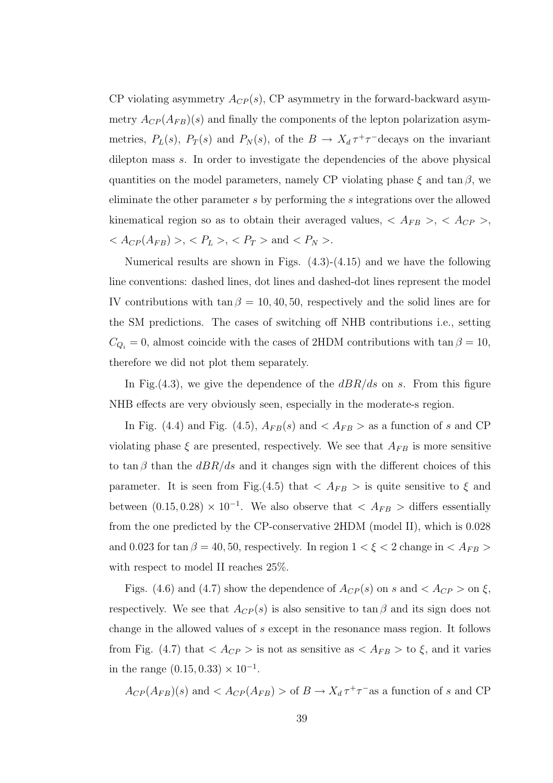CP violating asymmetry  $A_{CP}(s)$ , CP asymmetry in the forward-backward asymmetry  $A_{CP}(A_{FB})(s)$  and finally the components of the lepton polarization asymmetries,  $P_L(s)$ ,  $P_T(s)$  and  $P_N(s)$ , of the  $B \to X_d \tau^+\tau^-$ decays on the invariant dilepton mass s. In order to investigate the dependencies of the above physical quantities on the model parameters, namely CP violating phase  $\xi$  and tan  $\beta$ , we eliminate the other parameter s by performing the s integrations over the allowed kinematical region so as to obtain their averaged values,  $\langle A_{FB} \rangle$ ,  $\langle A_{CP} \rangle$ ,  $< A_{CP}(A_{FB}) > , < P_L > , < P_T >$  and  $< P_N > .$ 

Numerical results are shown in Figs. (4.3)-(4.15) and we have the following line conventions: dashed lines, dot lines and dashed-dot lines represent the model IV contributions with tan  $\beta = 10, 40, 50$ , respectively and the solid lines are for the SM predictions. The cases of switching off NHB contributions i.e., setting  $C_{Q_i} = 0$ , almost coincide with the cases of 2HDM contributions with  $\tan \beta = 10$ , therefore we did not plot them separately.

In Fig.  $(4.3)$ , we give the dependence of the  $dBR/ds$  on s. From this figure NHB effects are very obviously seen, especially in the moderate-s region.

In Fig. (4.4) and Fig. (4.5),  $A_{FB}(s)$  and  $\langle A_{FB} \rangle$  as a function of s and CP violating phase  $\xi$  are presented, respectively. We see that  $A_{FB}$  is more sensitive to tan β than the  $dBR/ds$  and it changes sign with the different choices of this parameter. It is seen from Fig.(4.5) that  $\langle A_{FB} \rangle$  is quite sensitive to  $\xi$  and between  $(0.15, 0.28) \times 10^{-1}$ . We also observe that  $\langle A_{FB} \rangle$  differs essentially from the one predicted by the CP-conservative 2HDM (model II), which is 0.028 and 0.023 for tan  $\beta = 40, 50$ , respectively. In region  $1 < \xi < 2$  change in  $\langle A_{FB} \rangle$ with respect to model II reaches 25%.

Figs. (4.6) and (4.7) show the dependence of  $A_{CP}(s)$  on s and  $\langle A_{CP} \rangle$  on  $\xi$ , respectively. We see that  $A_{CP}(s)$  is also sensitive to tan  $\beta$  and its sign does not change in the allowed values of s except in the resonance mass region. It follows from Fig. (4.7) that  $\langle A_{CP} \rangle$  is not as sensitive as  $\langle A_{FB} \rangle$  to  $\xi$ , and it varies in the range  $(0.15, 0.33) \times 10^{-1}$ .

$$
A_{CP}(A_{FB})(s)
$$
 and  $< A_{CP}(A_{FB}) >$  of  $B \to X_d \tau^+ \tau^-$  as a function of s and CP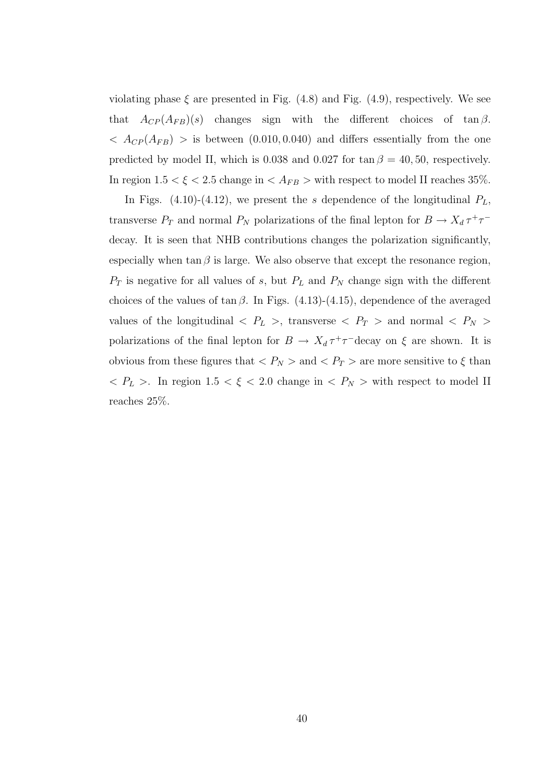violating phase  $\xi$  are presented in Fig. (4.8) and Fig. (4.9), respectively. We see that  $A_{CP}(A_{FB})(s)$  changes sign with the different choices of tan  $\beta$ .  $\langle A_{CP}(A_{FB}) \rangle$  is between (0.010, 0.040) and differs essentially from the one predicted by model II, which is 0.038 and 0.027 for  $\tan \beta = 40, 50$ , respectively. In region  $1.5 < \xi < 2.5$  change in  $\langle A_{FB} \rangle$  with respect to model II reaches 35%.

In Figs. (4.10)-(4.12), we present the s dependence of the longitudinal  $P_L$ , transverse  $P_T$  and normal  $P_N$  polarizations of the final lepton for  $B \to X_d \tau^+ \tau^$ decay. It is seen that NHB contributions changes the polarization significantly, especially when tan  $\beta$  is large. We also observe that except the resonance region,  $P_T$  is negative for all values of s, but  $P_L$  and  $P_N$  change sign with the different choices of the values of tan  $\beta$ . In Figs. (4.13)-(4.15), dependence of the averaged values of the longitudinal  $\langle P_L \rangle$ , transverse  $\langle P_T \rangle$  and normal  $\langle P_N \rangle$ polarizations of the final lepton for  $B \to X_d \tau^+ \tau^-$  decay on  $\xi$  are shown. It is obvious from these figures that  $\langle P_N \rangle$  and  $\langle P_T \rangle$  are more sensitive to  $\xi$  than  $P_L$  >. In region 1.5 <  $\xi$  < 2.0 change in <  $P_N$  > with respect to model II reaches 25%.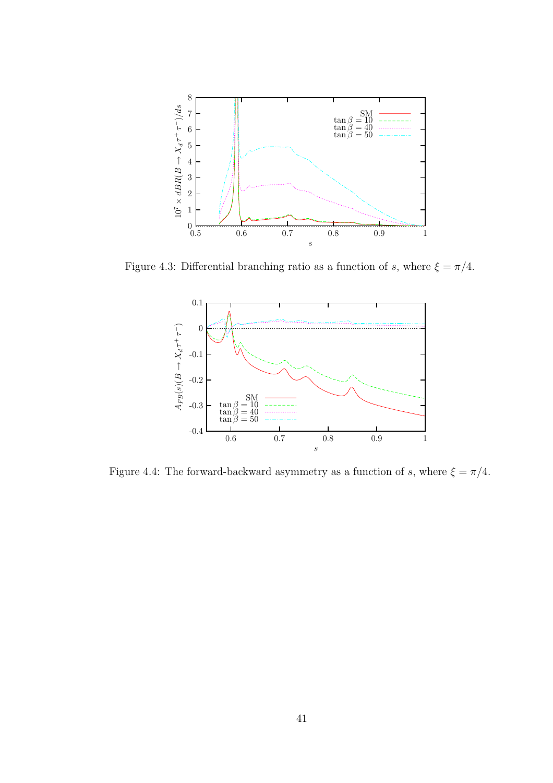

Figure 4.3: Differential branching ratio as a function of s, where  $\xi = \pi/4$ .



Figure 4.4: The forward-backward asymmetry as a function of s, where  $\xi = \pi/4$ .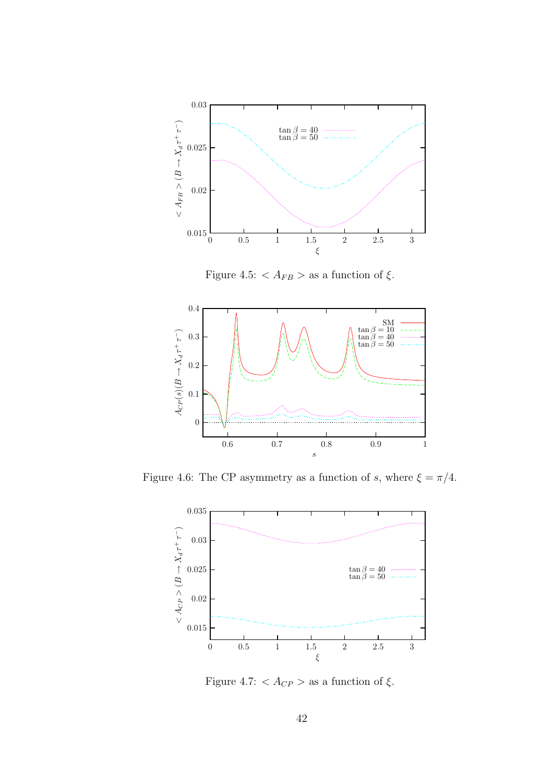

Figure 4.5:  $\langle A_{FB} \rangle$  as a function of  $\xi$ .



Figure 4.6: The CP asymmetry as a function of s, where  $\xi = \pi/4$ .



Figure 4.7: <  $A_{CP}$  > as a function of  $\xi$ .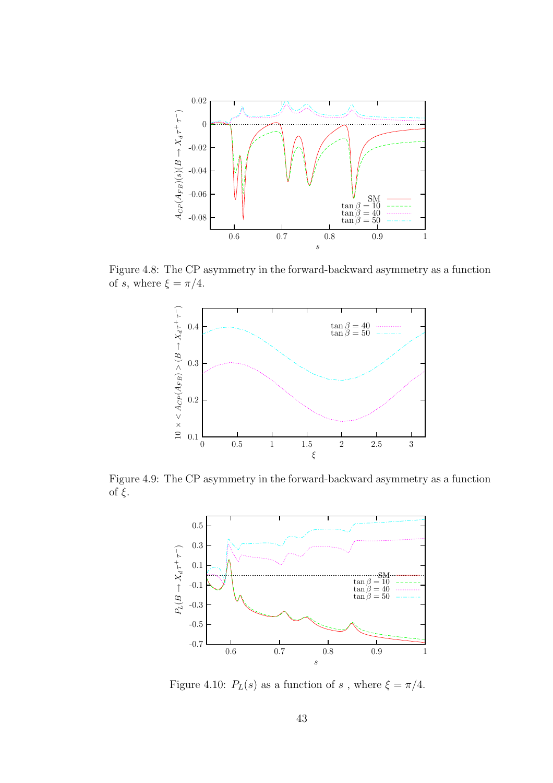

Figure 4.8: The CP asymmetry in the forward-backward asymmetry as a function of s, where  $\xi = \pi/4$ .



Figure 4.9: The CP asymmetry in the forward-backward asymmetry as a function of  $\xi$ .



Figure 4.10:  $P_L(s)$  as a function of s, where  $\xi = \pi/4$ .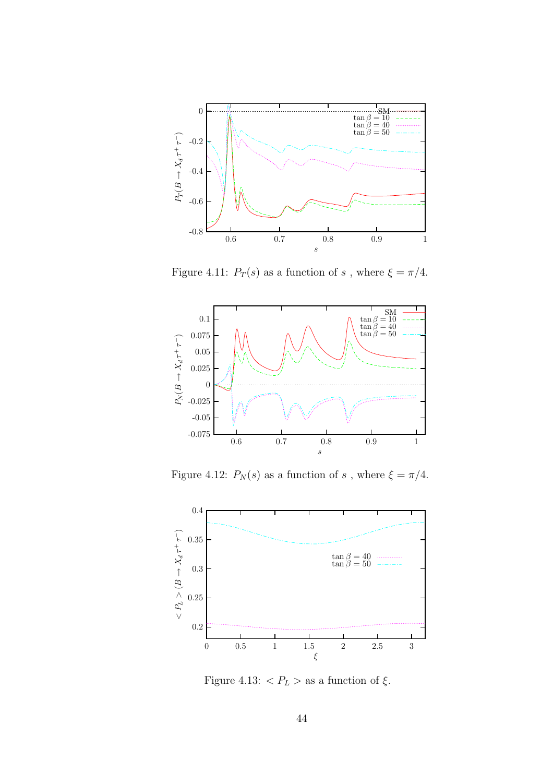

Figure 4.11:  $P_T(s)$  as a function of  $s$  , where  $\xi=\pi/4.$ 



Figure 4.12:  $P_N(s)$  as a function of  $s$  , where  $\xi=\pi/4.$ 



Figure 4.13:  $\langle P_L \rangle$  as a function of  $\xi$ .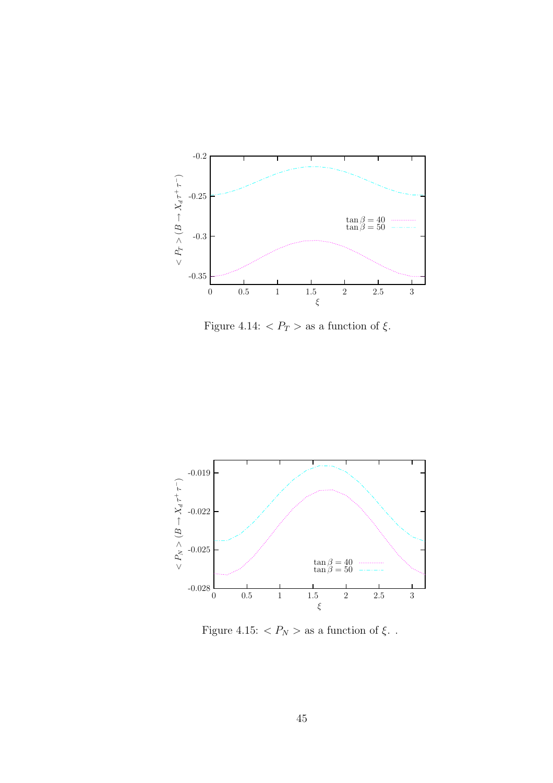

Figure 4.14:  $\langle P_T \rangle$  as a function of  $\xi$ .



Figure 4.15:  $< P_N >$  as a function of  $\xi.$  .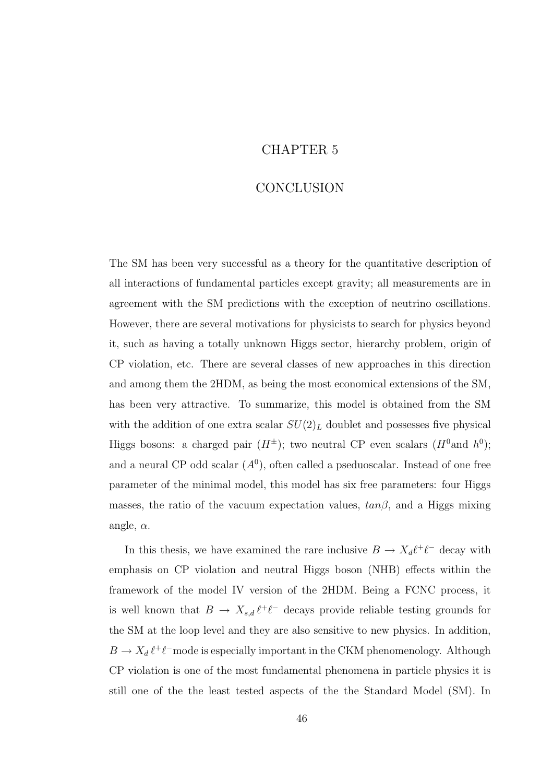### CHAPTER 5

### CONCLUSION

The SM has been very successful as a theory for the quantitative description of all interactions of fundamental particles except gravity; all measurements are in agreement with the SM predictions with the exception of neutrino oscillations. However, there are several motivations for physicists to search for physics beyond it, such as having a totally unknown Higgs sector, hierarchy problem, origin of CP violation, etc. There are several classes of new approaches in this direction and among them the 2HDM, as being the most economical extensions of the SM, has been very attractive. To summarize, this model is obtained from the SM with the addition of one extra scalar  $SU(2)_L$  doublet and possesses five physical Higgs bosons: a charged pair  $(H^{\pm})$ ; two neutral CP even scalars  $(H^0 \text{and } h^0)$ ; and a neural CP odd scalar  $(A^0)$ , often called a pseduoscalar. Instead of one free parameter of the minimal model, this model has six free parameters: four Higgs masses, the ratio of the vacuum expectation values,  $tan \beta$ , and a Higgs mixing angle,  $\alpha$ .

In this thesis, we have examined the rare inclusive  $B \to X_d \ell^+ \ell^-$  decay with emphasis on CP violation and neutral Higgs boson (NHB) effects within the framework of the model IV version of the 2HDM. Being a FCNC process, it is well known that  $B \to X_{s,d} \ell^+ \ell^-$  decays provide reliable testing grounds for the SM at the loop level and they are also sensitive to new physics. In addition,  $B \to X_d \ell^+ \ell^-$  mode is especially important in the CKM phenomenology. Although CP violation is one of the most fundamental phenomena in particle physics it is still one of the the least tested aspects of the the Standard Model (SM). In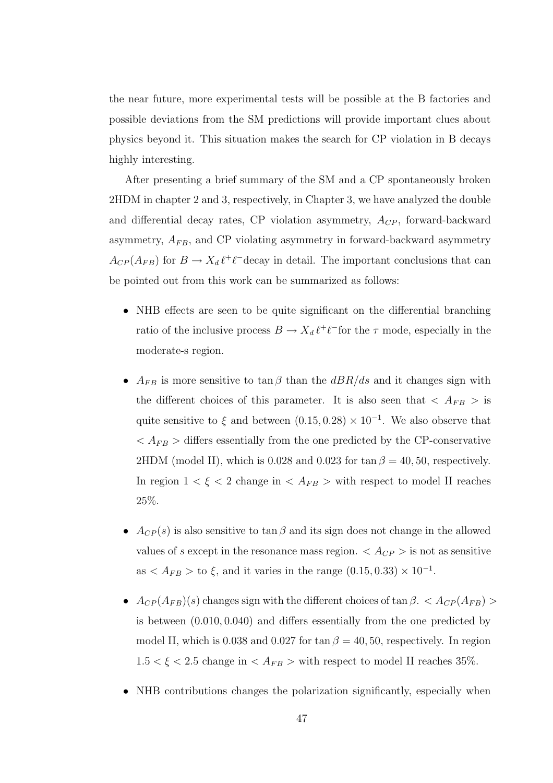the near future, more experimental tests will be possible at the B factories and possible deviations from the SM predictions will provide important clues about physics beyond it. This situation makes the search for CP violation in B decays highly interesting.

After presenting a brief summary of the SM and a CP spontaneously broken 2HDM in chapter 2 and 3, respectively, in Chapter 3, we have analyzed the double and differential decay rates, CP violation asymmetry,  $A_{CP}$ , forward-backward asymmetry,  $A_{FB}$ , and CP violating asymmetry in forward-backward asymmetry  $A_{CP}(A_{FB})$  for  $B \to X_d \ell^+ \ell^-$  decay in detail. The important conclusions that can be pointed out from this work can be summarized as follows:

- NHB effects are seen to be quite significant on the differential branching ratio of the inclusive process  $B \to X_d \ell^+ \ell^-$  for the  $\tau$  mode, especially in the moderate-s region.
- $A_{FB}$  is more sensitive to tan  $\beta$  than the  $dBR/ds$  and it changes sign with the different choices of this parameter. It is also seen that  $\langle A_{FB} \rangle$  is quite sensitive to  $\xi$  and between  $(0.15, 0.28) \times 10^{-1}$ . We also observe that  $\langle A_{FB} \rangle$  differs essentially from the one predicted by the CP-conservative 2HDM (model II), which is 0.028 and 0.023 for tan  $\beta = 40, 50$ , respectively. In region  $1 < \xi < 2$  change in  $\langle A_{FB} \rangle$  with respect to model II reaches 25%.
- $A_{CP}(s)$  is also sensitive to tan  $\beta$  and its sign does not change in the allowed values of s except in the resonance mass region.  $\langle A_{CP} \rangle$  is not as sensitive as  $\langle A_{FB} \rangle$  to  $\xi$ , and it varies in the range  $(0.15, 0.33) \times 10^{-1}$ .
- $A_{CP}(A_{FB})(s)$  changes sign with the different choices of tan  $\beta$ . <  $A_{CP}(A_{FB})$ is between (0.010, 0.040) and differs essentially from the one predicted by model II, which is 0.038 and 0.027 for tan  $\beta = 40, 50$ , respectively. In region  $1.5 < \xi < 2.5$  change in  $\langle A_{FB} \rangle$  with respect to model II reaches 35%.
- NHB contributions changes the polarization significantly, especially when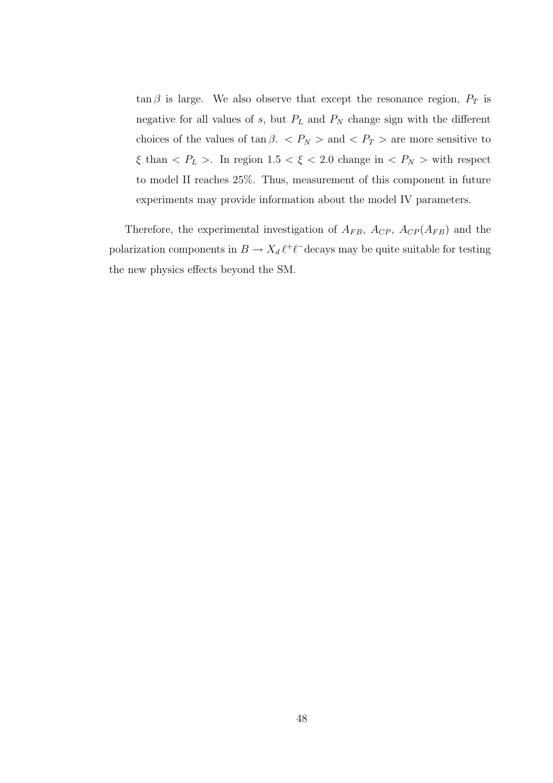$\tan \beta$  is large. We also observe that except the resonance region,  $P_T$  is negative for all values of  $s$ , but  $P_L$  and  $P_N$  change sign with the different choices of the values of  $\tan \beta$ .  $\langle P_N \rangle$  and  $\langle P_T \rangle$  are more sensitive to  $\xi$  than <  $P_L$  >. In region 1.5 <  $\xi$  < 2.0 change in <  $P_N$  > with respect to model II reaches 25%. Thus, measurement of this component in future experiments may provide information about the model IV parameters.

Therefore, the experimental investigation of  $A_{FB}$ ,  $A_{CP}$ ,  $A_{CP}(A_{FB})$  and the polarization components in  $B \to X_d \ell^+ \ell^-$  decays may be quite suitable for testing the new physics effects beyond the SM.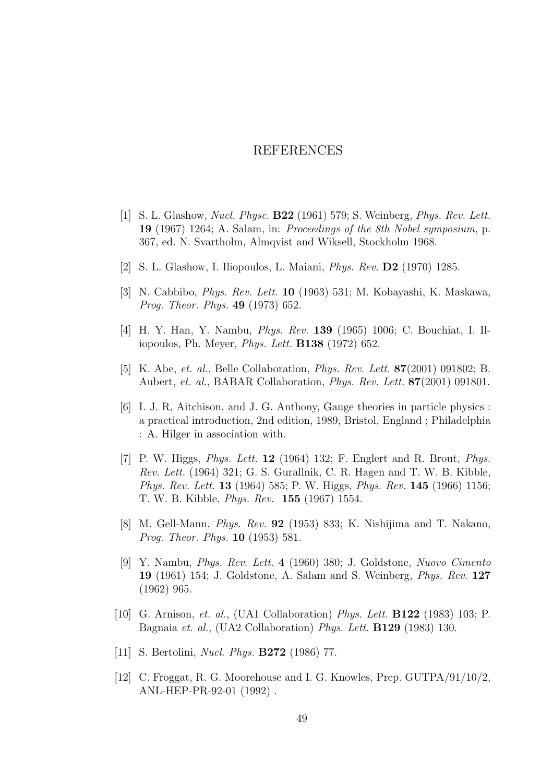### REFERENCES

- [1] S. L. Glashow, Nucl. Physc. B22 (1961) 579; S. Weinberg, Phys. Rev. Lett. 19 (1967) 1264; A. Salam, in: Proceedings of the 8th Nobel symposium, p. 367, ed. N. Svartholm, Almqvist and Wiksell, Stockholm 1968.
- [2] S. L. Glashow, I. Iliopoulos, L. Maiani, Phys. Rev. D2 (1970) 1285.
- [3] N. Cabbibo, Phys. Rev. Lett. 10 (1963) 531; M. Kobayashi, K. Maskawa, Prog. Theor. Phys. 49 (1973) 652.
- [4] H. Y. Han, Y. Nambu, Phys. Rev. 139 (1965) 1006; C. Bouchiat, I. Iliopoulos, Ph. Meyer, Phys. Lett. B138 (1972) 652.
- [5] K. Abe, et. al., Belle Collaboration, Phys. Rev. Lett. 87(2001) 091802; B. Aubert, et. al., BABAR Collaboration, Phys. Rev. Lett. 87(2001) 091801.
- [6] I. J. R, Aitchison, and J. G. Anthony, Gauge theories in particle physics : a practical introduction, 2nd edition, 1989, Bristol, England ; Philadelphia : A. Hilger in association with.
- [7] P. W. Higgs, *Phys. Lett.* **12** (1964) 132; F. Englert and R. Brout, *Phys.* Rev. Lett. (1964) 321; G. S. Gurallnik, C. R. Hagen and T. W. B. Kibble, Phys. Rev. Lett. 13 (1964) 585; P. W. Higgs, Phys. Rev. 145 (1966) 1156; T. W. B. Kibble, Phys. Rev. 155 (1967) 1554.
- [8] M. Gell-Mann, Phys. Rev. 92 (1953) 833; K. Nishijima and T. Nakano, Prog. Theor. Phys. 10 (1953) 581.
- [9] Y. Nambu, Phys. Rev. Lett. 4 (1960) 380; J. Goldstone, Nuovo Cimento 19 (1961) 154; J. Goldstone, A. Salam and S. Weinberg, Phys. Rev. 127 (1962) 965.
- [10] G. Arnison, et. al., (UA1 Collaboration) Phys. Lett. B122 (1983) 103; P. Bagnaia et. al., (UA2 Collaboration) Phys. Lett. B129 (1983) 130.
- [11] S. Bertolini, *Nucl. Phys.* **B272** (1986) 77.
- [12] C. Froggat, R. G. Moorehouse and I. G. Knowles, Prep. GUTPA/91/10/2, ANL-HEP-PR-92-01 (1992) .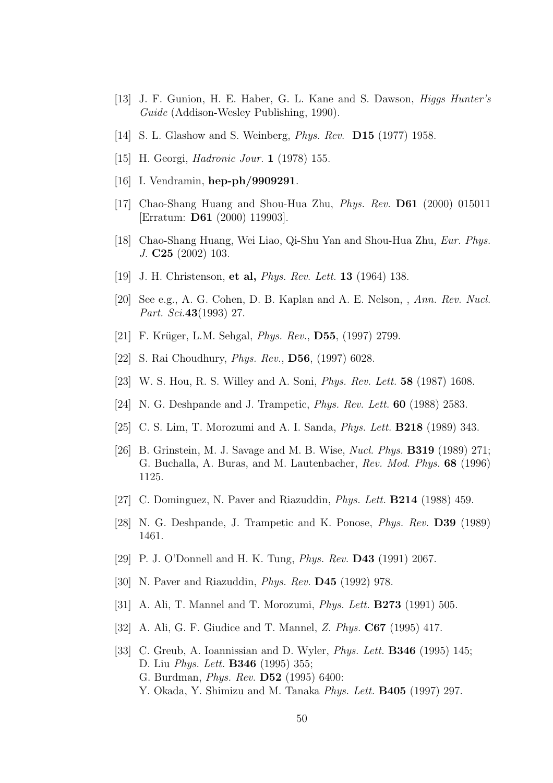- [13] J. F. Gunion, H. E. Haber, G. L. Kane and S. Dawson, Higgs Hunter's Guide (Addison-Wesley Publishing, 1990).
- [14] S. L. Glashow and S. Weinberg, *Phys. Rev.* **D15** (1977) 1958.
- [15] H. Georgi, *Hadronic Jour.* **1** (1978) 155.
- [16] I. Vendramin, **hep-ph/9909291**.
- [17] Chao-Shang Huang and Shou-Hua Zhu, Phys. Rev. D61 (2000) 015011 [Erratum: D61 (2000) 119903].
- [18] Chao-Shang Huang, Wei Liao, Qi-Shu Yan and Shou-Hua Zhu, Eur. Phys. J. C25 (2002) 103.
- [19] J. H. Christenson, et al, *Phys. Rev. Lett.* **13** (1964) 138.
- [20] See e.g., A. G. Cohen, D. B. Kaplan and A. E. Nelson, , Ann. Rev. Nucl. Part. Sci.43(1993) 27.
- [21] F. Krüger, L.M. Sehgal, *Phys. Rev.*, **D55**, (1997) 2799.
- [22] S. Rai Choudhury, Phys. Rev., D56, (1997) 6028.
- [23] W. S. Hou, R. S. Willey and A. Soni, Phys. Rev. Lett. 58 (1987) 1608.
- [24] N. G. Deshpande and J. Trampetic, Phys. Rev. Lett. 60 (1988) 2583.
- [25] C. S. Lim, T. Morozumi and A. I. Sanda, Phys. Lett. B218 (1989) 343.
- [26] B. Grinstein, M. J. Savage and M. B. Wise, Nucl. Phys. B319 (1989) 271; G. Buchalla, A. Buras, and M. Lautenbacher, Rev. Mod. Phys. 68 (1996) 1125.
- [27] C. Dominguez, N. Paver and Riazuddin, Phys. Lett. B214 (1988) 459.
- [28] N. G. Deshpande, J. Trampetic and K. Ponose, Phys. Rev. D39 (1989) 1461.
- [29] P. J. O'Donnell and H. K. Tung, Phys. Rev. D43 (1991) 2067.
- [30] N. Paver and Riazuddin, Phys. Rev. D45 (1992) 978.
- [31] A. Ali, T. Mannel and T. Morozumi, *Phys. Lett.* **B273** (1991) 505.
- [32] A. Ali, G. F. Giudice and T. Mannel, Z. Phys. C67 (1995) 417.
- [33] C. Greub, A. Ioannissian and D. Wyler, Phys. Lett. B346 (1995) 145; D. Liu Phys. Lett. B346 (1995) 355; G. Burdman, Phys. Rev. D52 (1995) 6400: Y. Okada, Y. Shimizu and M. Tanaka Phys. Lett. **B405** (1997) 297.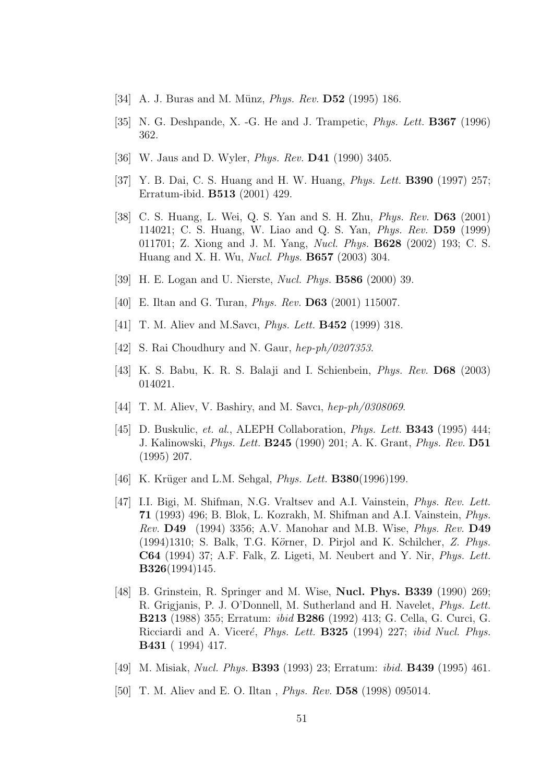- [34] A. J. Buras and M. Münz, *Phys. Rev.* **D52** (1995) 186.
- [35] N. G. Deshpande, X. -G. He and J. Trampetic, Phys. Lett. B367 (1996) 362.
- [36] W. Jaus and D. Wyler, Phys. Rev. D41 (1990) 3405.
- [37] Y. B. Dai, C. S. Huang and H. W. Huang, Phys. Lett. B390 (1997) 257; Erratum-ibid. B513 (2001) 429.
- [38] C. S. Huang, L. Wei, Q. S. Yan and S. H. Zhu, Phys. Rev. D63 (2001) 114021; C. S. Huang, W. Liao and Q. S. Yan, Phys. Rev. D59 (1999) 011701; Z. Xiong and J. M. Yang, Nucl. Phys. B628 (2002) 193; C. S. Huang and X. H. Wu, Nucl. Phys. B657 (2003) 304.
- [39] H. E. Logan and U. Nierste, Nucl. Phys. B586 (2000) 39.
- [40] E. Iltan and G. Turan, *Phys. Rev.* **D63** (2001) 115007.
- [41] T. M. Aliev and M.Savcı, *Phys. Lett.* **B452** (1999) 318.
- [42] S. Rai Choudhury and N. Gaur, hep-ph/0207353.
- [43] K. S. Babu, K. R. S. Balaji and I. Schienbein, Phys. Rev. D68 (2003) 014021.
- [44] T. M. Aliev, V. Bashiry, and M. Savcı, hep-ph/0308069.
- [45] D. Buskulic, et. al., ALEPH Collaboration, Phys. Lett. B343 (1995) 444; J. Kalinowski, Phys. Lett. B245 (1990) 201; A. K. Grant, Phys. Rev. D51 (1995) 207.
- [46] K. Krüger and L.M. Sehgal, *Phys. Lett.*  $\textbf{B380}(1996)199$ .
- [47] I.I. Bigi, M. Shifman, N.G. Vraltsev and A.I. Vainstein, Phys. Rev. Lett. 71 (1993) 496; B. Blok, L. Kozrakh, M. Shifman and A.I. Vainstein, Phys. Rev.  $\mathbf{D49}$  (1994) 3356; A.V. Manohar and M.B. Wise, *Phys. Rev.*  $\mathbf{D49}$  $(1994)1310$ ; S. Balk, T.G. Körner, D. Pirjol and K. Schilcher, Z. Phys. C64 (1994) 37; A.F. Falk, Z. Ligeti, M. Neubert and Y. Nir, Phys. Lett. B326(1994)145.
- [48] B. Grinstein, R. Springer and M. Wise, Nucl. Phys. B339 (1990) 269; R. Grigjanis, P. J. O'Donnell, M. Sutherland and H. Navelet, Phys. Lett. B213 (1988) 355; Erratum: ibid B286 (1992) 413; G. Cella, G. Curci, G. Ricciardi and A. Viceré, *Phys. Lett.* **B325** (1994) 227; *ibid Nucl. Phys.* B431 ( 1994) 417.
- [49] M. Misiak, Nucl. Phys. B393 (1993) 23; Erratum: ibid. B439 (1995) 461.
- [50] T. M. Aliev and E. O. Iltan, *Phys. Rev.* **D58** (1998) 095014.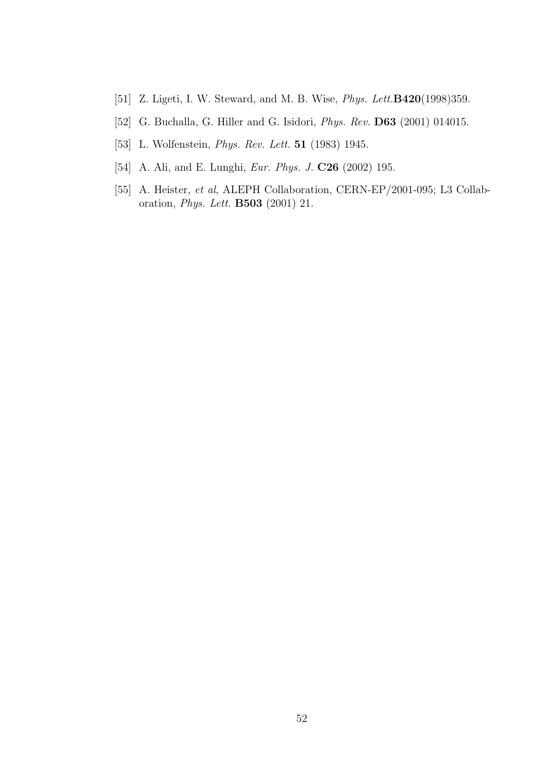- [51] Z. Ligeti, I. W. Steward, and M. B. Wise, *Phys. Lett.***B420**(1998)359.
- [52] G. Buchalla, G. Hiller and G. Isidori, Phys. Rev. D63 (2001) 014015.
- [53] L. Wolfenstein, *Phys. Rev. Lett.* **51** (1983) 1945.
- [54] A. Ali, and E. Lunghi, Eur. Phys. J. C26 (2002) 195.
- [55] A. Heister, et al, ALEPH Collaboration, CERN-EP/2001-095; L3 Collaboration, Phys. Lett. B503 (2001) 21.